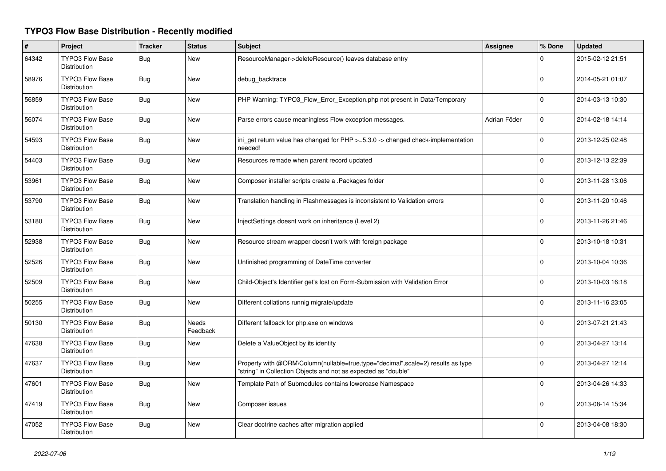## **TYPO3 Flow Base Distribution - Recently modified**

| $\pmb{\sharp}$ | Project                                       | <b>Tracker</b> | <b>Status</b>            | <b>Subject</b>                                                                                                                                    | Assignee     | % Done       | <b>Updated</b>   |
|----------------|-----------------------------------------------|----------------|--------------------------|---------------------------------------------------------------------------------------------------------------------------------------------------|--------------|--------------|------------------|
| 64342          | <b>TYPO3 Flow Base</b><br>Distribution        | <b>Bug</b>     | New                      | ResourceManager->deleteResource() leaves database entry                                                                                           |              | $\Omega$     | 2015-02-12 21:51 |
| 58976          | <b>TYPO3 Flow Base</b><br>Distribution        | <b>Bug</b>     | <b>New</b>               | debug backtrace                                                                                                                                   |              | $\Omega$     | 2014-05-21 01:07 |
| 56859          | <b>TYPO3 Flow Base</b><br>Distribution        | Bug            | <b>New</b>               | PHP Warning: TYPO3_Flow_Error_Exception.php not present in Data/Temporary                                                                         |              | 0            | 2014-03-13 10:30 |
| 56074          | <b>TYPO3 Flow Base</b><br>Distribution        | Bug            | <b>New</b>               | Parse errors cause meaningless Flow exception messages.                                                                                           | Adrian Föder | 0            | 2014-02-18 14:14 |
| 54593          | <b>TYPO3 Flow Base</b><br>Distribution        | <b>Bug</b>     | <b>New</b>               | ini get return value has changed for PHP >=5.3.0 -> changed check-implementation<br>needed!                                                       |              | $\mathbf{0}$ | 2013-12-25 02:48 |
| 54403          | <b>TYPO3 Flow Base</b><br>Distribution        | <b>Bug</b>     | <b>New</b>               | Resources remade when parent record updated                                                                                                       |              | $\Omega$     | 2013-12-13 22:39 |
| 53961          | TYPO3 Flow Base<br>Distribution               | <b>Bug</b>     | <b>New</b>               | Composer installer scripts create a .Packages folder                                                                                              |              | $\Omega$     | 2013-11-28 13:06 |
| 53790          | <b>TYPO3 Flow Base</b><br>Distribution        | <b>Bug</b>     | <b>New</b>               | Translation handling in Flashmessages is inconsistent to Validation errors                                                                        |              | $\Omega$     | 2013-11-20 10:46 |
| 53180          | <b>TYPO3 Flow Base</b><br>Distribution        | Bug            | <b>New</b>               | InjectSettings doesnt work on inheritance (Level 2)                                                                                               |              | $\Omega$     | 2013-11-26 21:46 |
| 52938          | <b>TYPO3 Flow Base</b><br>Distribution        | <b>Bug</b>     | <b>New</b>               | Resource stream wrapper doesn't work with foreign package                                                                                         |              | $\Omega$     | 2013-10-18 10:31 |
| 52526          | <b>TYPO3 Flow Base</b><br><b>Distribution</b> | Bug            | <b>New</b>               | Unfinished programming of DateTime converter                                                                                                      |              | $\mathbf 0$  | 2013-10-04 10:36 |
| 52509          | <b>TYPO3 Flow Base</b><br>Distribution        | Bug            | New                      | Child-Object's Identifier get's lost on Form-Submission with Validation Error                                                                     |              | $\Omega$     | 2013-10-03 16:18 |
| 50255          | <b>TYPO3 Flow Base</b><br>Distribution        | Bug            | New                      | Different collations runnig migrate/update                                                                                                        |              | $\Omega$     | 2013-11-16 23:05 |
| 50130          | <b>TYPO3 Flow Base</b><br><b>Distribution</b> | <b>Bug</b>     | <b>Needs</b><br>Feedback | Different fallback for php.exe on windows                                                                                                         |              | $\Omega$     | 2013-07-21 21:43 |
| 47638          | <b>TYPO3 Flow Base</b><br>Distribution        | <b>Bug</b>     | New                      | Delete a ValueObject by its identity                                                                                                              |              | $\Omega$     | 2013-04-27 13:14 |
| 47637          | <b>TYPO3 Flow Base</b><br><b>Distribution</b> | <b>Bug</b>     | New                      | Property with @ORM\Column(nullable=true,type="decimal",scale=2) results as type<br>"string" in Collection Objects and not as expected as "double" |              | $\Omega$     | 2013-04-27 12:14 |
| 47601          | <b>TYPO3 Flow Base</b><br><b>Distribution</b> | <b>Bug</b>     | <b>New</b>               | Template Path of Submodules contains lowercase Namespace                                                                                          |              | $\Omega$     | 2013-04-26 14:33 |
| 47419          | <b>TYPO3 Flow Base</b><br>Distribution        | <b>Bug</b>     | New                      | Composer issues                                                                                                                                   |              | 0            | 2013-08-14 15:34 |
| 47052          | <b>TYPO3 Flow Base</b><br>Distribution        | <b>Bug</b>     | <b>New</b>               | Clear doctrine caches after migration applied                                                                                                     |              | $\Omega$     | 2013-04-08 18:30 |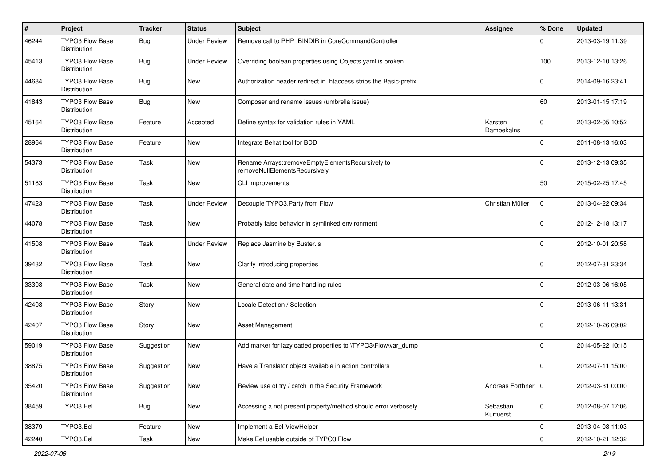| $\#$  | Project                                       | <b>Tracker</b> | <b>Status</b>       | <b>Subject</b>                                                                    | <b>Assignee</b>        | % Done      | <b>Updated</b>   |
|-------|-----------------------------------------------|----------------|---------------------|-----------------------------------------------------------------------------------|------------------------|-------------|------------------|
| 46244 | TYPO3 Flow Base<br>Distribution               | <b>Bug</b>     | <b>Under Review</b> | Remove call to PHP_BINDIR in CoreCommandController                                |                        | U           | 2013-03-19 11:39 |
| 45413 | <b>TYPO3 Flow Base</b><br>Distribution        | Bug            | <b>Under Review</b> | Overriding boolean properties using Objects yaml is broken                        |                        | 100         | 2013-12-10 13:26 |
| 44684 | <b>TYPO3 Flow Base</b><br>Distribution        | <b>Bug</b>     | New                 | Authorization header redirect in .htaccess strips the Basic-prefix                |                        | 0           | 2014-09-16 23:41 |
| 41843 | <b>TYPO3 Flow Base</b><br><b>Distribution</b> | Bug            | <b>New</b>          | Composer and rename issues (umbrella issue)                                       |                        | 60          | 2013-01-15 17:19 |
| 45164 | TYPO3 Flow Base<br><b>Distribution</b>        | Feature        | Accepted            | Define syntax for validation rules in YAML                                        | Karsten<br>Dambekalns  | 0           | 2013-02-05 10:52 |
| 28964 | TYPO3 Flow Base<br>Distribution               | Feature        | New                 | Integrate Behat tool for BDD                                                      |                        | $\Omega$    | 2011-08-13 16:03 |
| 54373 | TYPO3 Flow Base<br>Distribution               | Task           | <b>New</b>          | Rename Arrays::removeEmptyElementsRecursively to<br>removeNullElementsRecursively |                        | 0           | 2013-12-13 09:35 |
| 51183 | TYPO3 Flow Base<br>Distribution               | Task           | New                 | CLI improvements                                                                  |                        | 50          | 2015-02-25 17:45 |
| 47423 | <b>TYPO3 Flow Base</b><br>Distribution        | Task           | <b>Under Review</b> | Decouple TYPO3.Party from Flow                                                    | Christian Müller       | 0           | 2013-04-22 09:34 |
| 44078 | TYPO3 Flow Base<br>Distribution               | Task           | <b>New</b>          | Probably false behavior in symlinked environment                                  |                        | 0           | 2012-12-18 13:17 |
| 41508 | <b>TYPO3 Flow Base</b><br>Distribution        | Task           | <b>Under Review</b> | Replace Jasmine by Buster.js                                                      |                        | $\Omega$    | 2012-10-01 20:58 |
| 39432 | TYPO3 Flow Base<br><b>Distribution</b>        | Task           | <b>New</b>          | Clarify introducing properties                                                    |                        | 0           | 2012-07-31 23:34 |
| 33308 | TYPO3 Flow Base<br>Distribution               | Task           | <b>New</b>          | General date and time handling rules                                              |                        | $\Omega$    | 2012-03-06 16:05 |
| 42408 | TYPO3 Flow Base<br>Distribution               | Story          | <b>New</b>          | Locale Detection / Selection                                                      |                        | 0           | 2013-06-11 13:31 |
| 42407 | <b>TYPO3 Flow Base</b><br>Distribution        | Story          | New                 | <b>Asset Management</b>                                                           |                        | 0           | 2012-10-26 09:02 |
| 59019 | TYPO3 Flow Base<br>Distribution               | Suggestion     | New                 | Add marker for lazyloaded properties to \TYPO3\Flow\var_dump                      |                        | 0           | 2014-05-22 10:15 |
| 38875 | TYPO3 Flow Base<br>Distribution               | Suggestion     | New                 | Have a Translator object available in action controllers                          |                        | 0           | 2012-07-11 15:00 |
| 35420 | <b>TYPO3 Flow Base</b><br>Distribution        | Suggestion     | New                 | Review use of try / catch in the Security Framework                               | Andreas Förthner 10    |             | 2012-03-31 00:00 |
| 38459 | TYPO3.Eel                                     | <b>Bug</b>     | New                 | Accessing a not present property/method should error verbosely                    | Sebastian<br>Kurfuerst | $\mathbf 0$ | 2012-08-07 17:06 |
| 38379 | TYPO3.Eel                                     | Feature        | New                 | Implement a Eel-ViewHelper                                                        |                        | $\mathbf 0$ | 2013-04-08 11:03 |
| 42240 | TYPO3.Eel                                     | Task           | New                 | Make Eel usable outside of TYPO3 Flow                                             |                        | $\mathbf 0$ | 2012-10-21 12:32 |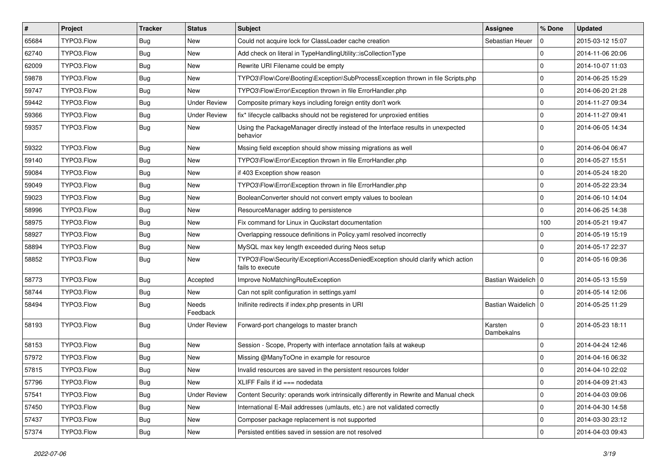| $\vert$ # | Project    | <b>Tracker</b> | <b>Status</b>            | <b>Subject</b>                                                                                      | <b>Assignee</b>       | % Done         | <b>Updated</b>   |
|-----------|------------|----------------|--------------------------|-----------------------------------------------------------------------------------------------------|-----------------------|----------------|------------------|
| 65684     | TYPO3.Flow | <b>Bug</b>     | New                      | Could not acquire lock for ClassLoader cache creation                                               | Sebastian Heuer       | $\Omega$       | 2015-03-12 15:07 |
| 62740     | TYPO3.Flow | <b>Bug</b>     | New                      | Add check on literal in TypeHandlingUtility::isCollectionType                                       |                       | $\Omega$       | 2014-11-06 20:06 |
| 62009     | TYPO3.Flow | <b>Bug</b>     | New                      | Rewrite URI Filename could be empty                                                                 |                       | 0              | 2014-10-07 11:03 |
| 59878     | TYPO3.Flow | <b>Bug</b>     | New                      | TYPO3\Flow\Core\Booting\Exception\SubProcessException thrown in file Scripts.php                    |                       | $\Omega$       | 2014-06-25 15:29 |
| 59747     | TYPO3.Flow | <b>Bug</b>     | <b>New</b>               | TYPO3\Flow\Error\Exception thrown in file ErrorHandler.php                                          |                       | $\Omega$       | 2014-06-20 21:28 |
| 59442     | TYPO3.Flow | <b>Bug</b>     | <b>Under Review</b>      | Composite primary keys including foreign entity don't work                                          |                       | $\overline{0}$ | 2014-11-27 09:34 |
| 59366     | TYPO3.Flow | <b>Bug</b>     | <b>Under Review</b>      | fix* lifecycle callbacks should not be registered for unproxied entities                            |                       | 0              | 2014-11-27 09:41 |
| 59357     | TYPO3.Flow | <b>Bug</b>     | New                      | Using the PackageManager directly instead of the Interface results in unexpected<br>behavior        |                       | l 0            | 2014-06-05 14:34 |
| 59322     | TYPO3.Flow | <b>Bug</b>     | <b>New</b>               | Mssing field exception should show missing migrations as well                                       |                       | $\Omega$       | 2014-06-04 06:47 |
| 59140     | TYPO3.Flow | Bug            | New                      | TYPO3\Flow\Error\Exception thrown in file ErrorHandler.php                                          |                       | 0              | 2014-05-27 15:51 |
| 59084     | TYPO3.Flow | <b>Bug</b>     | New                      | if 403 Exception show reason                                                                        |                       | $\mathbf 0$    | 2014-05-24 18:20 |
| 59049     | TYPO3.Flow | <b>Bug</b>     | New                      | TYPO3\Flow\Error\Exception thrown in file ErrorHandler.php                                          |                       | $\Omega$       | 2014-05-22 23:34 |
| 59023     | TYPO3.Flow | <b>Bug</b>     | New                      | BooleanConverter should not convert empty values to boolean                                         |                       | $\Omega$       | 2014-06-10 14:04 |
| 58996     | TYPO3.Flow | Bug            | New                      | ResourceManager adding to persistence                                                               |                       | $\Omega$       | 2014-06-25 14:38 |
| 58975     | TYPO3.Flow | <b>Bug</b>     | New                      | Fix command for Linux in Qucikstart documentation                                                   |                       | 100            | 2014-05-21 19:47 |
| 58927     | TYPO3.Flow | <b>Bug</b>     | New                      | Overlapping ressouce definitions in Policy yaml resolved incorrectly                                |                       | $\Omega$       | 2014-05-19 15:19 |
| 58894     | TYPO3.Flow | <b>Bug</b>     | New                      | MySQL max key length exceeded during Neos setup                                                     |                       | $\Omega$       | 2014-05-17 22:37 |
| 58852     | TYPO3.Flow | <b>Bug</b>     | New                      | TYPO3\Flow\Security\Exception\AccessDeniedException should clarify which action<br>fails to execute |                       | $\Omega$       | 2014-05-16 09:36 |
| 58773     | TYPO3.Flow | <b>Bug</b>     | Accepted                 | Improve NoMatchingRouteException                                                                    | Bastian Waidelich   0 |                | 2014-05-13 15:59 |
| 58744     | TYPO3.Flow | Bug            | New                      | Can not split configuration in settings.yaml                                                        |                       | $\Omega$       | 2014-05-14 12:06 |
| 58494     | TYPO3.Flow | <b>Bug</b>     | <b>Needs</b><br>Feedback | Inifinite redirects if index.php presents in URI                                                    | Bastian Waidelich   0 |                | 2014-05-25 11:29 |
| 58193     | TYPO3.Flow | <b>Bug</b>     | <b>Under Review</b>      | Forward-port changelogs to master branch                                                            | Karsten<br>Dambekalns | $\Omega$       | 2014-05-23 18:11 |
| 58153     | TYPO3.Flow | <b>Bug</b>     | New                      | Session - Scope, Property with interface annotation fails at wakeup                                 |                       | $\Omega$       | 2014-04-24 12:46 |
| 57972     | TYPO3.Flow | <b>Bug</b>     | New                      | Missing @ManyToOne in example for resource                                                          |                       | $\mathbf 0$    | 2014-04-16 06:32 |
| 57815     | TYPO3.Flow | <b>Bug</b>     | New                      | Invalid resources are saved in the persistent resources folder                                      |                       | l 0            | 2014-04-10 22:02 |
| 57796     | TYPO3.Flow | <b>Bug</b>     | New                      | XLIFF Fails if id === nodedata                                                                      |                       | 0              | 2014-04-09 21:43 |
| 57541     | TYPO3.Flow | <b>Bug</b>     | <b>Under Review</b>      | Content Security: operands work intrinsically differently in Rewrite and Manual check               |                       | 0              | 2014-04-03 09:06 |
| 57450     | TYPO3.Flow | <b>Bug</b>     | New                      | International E-Mail addresses (umlauts, etc.) are not validated correctly                          |                       | 0              | 2014-04-30 14:58 |
| 57437     | TYPO3.Flow | Bug            | New                      | Composer package replacement is not supported                                                       |                       | 0              | 2014-03-30 23:12 |
| 57374     | TYPO3.Flow | Bug            | New                      | Persisted entities saved in session are not resolved                                                |                       | l O            | 2014-04-03 09:43 |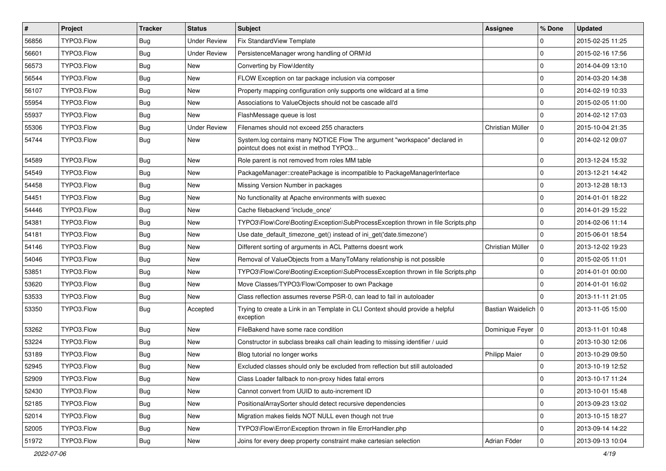| $\vert$ # | <b>Project</b> | <b>Tracker</b> | <b>Status</b>       | Subject                                                                                                              | <b>Assignee</b>       | % Done      | <b>Updated</b>   |
|-----------|----------------|----------------|---------------------|----------------------------------------------------------------------------------------------------------------------|-----------------------|-------------|------------------|
| 56856     | TYPO3.Flow     | Bug            | <b>Under Review</b> | Fix StandardView Template                                                                                            |                       | $\Omega$    | 2015-02-25 11:25 |
| 56601     | TYPO3.Flow     | <b>Bug</b>     | <b>Under Review</b> | PersistenceManager wrong handling of ORM\ld                                                                          |                       | $\Omega$    | 2015-02-16 17:56 |
| 56573     | TYPO3.Flow     | <b>Bug</b>     | New                 | Converting by Flow\Identity                                                                                          |                       | l 0         | 2014-04-09 13:10 |
| 56544     | TYPO3.Flow     | <b>Bug</b>     | New                 | FLOW Exception on tar package inclusion via composer                                                                 |                       | $\Omega$    | 2014-03-20 14:38 |
| 56107     | TYPO3.Flow     | <b>Bug</b>     | <b>New</b>          | Property mapping configuration only supports one wildcard at a time                                                  |                       | $\Omega$    | 2014-02-19 10:33 |
| 55954     | TYPO3.Flow     | <b>Bug</b>     | New                 | Associations to ValueObjects should not be cascade all'd                                                             |                       | $\Omega$    | 2015-02-05 11:00 |
| 55937     | TYPO3.Flow     | <b>Bug</b>     | <b>New</b>          | FlashMessage queue is lost                                                                                           |                       | $\Omega$    | 2014-02-12 17:03 |
| 55306     | TYPO3.Flow     | <b>Bug</b>     | <b>Under Review</b> | Filenames should not exceed 255 characters                                                                           | Christian Müller      | 0           | 2015-10-04 21:35 |
| 54744     | TYPO3.Flow     | <b>Bug</b>     | <b>New</b>          | System.log contains many NOTICE Flow The argument "workspace" declared in<br>pointcut does not exist in method TYPO3 |                       | $\Omega$    | 2014-02-12 09:07 |
| 54589     | TYPO3.Flow     | <b>Bug</b>     | <b>New</b>          | Role parent is not removed from roles MM table                                                                       |                       | $\Omega$    | 2013-12-24 15:32 |
| 54549     | TYPO3.Flow     | <b>Bug</b>     | New                 | PackageManager::createPackage is incompatible to PackageManagerInterface                                             |                       | $\mathbf 0$ | 2013-12-21 14:42 |
| 54458     | TYPO3.Flow     | <b>Bug</b>     | <b>New</b>          | Missing Version Number in packages                                                                                   |                       | $\mathbf 0$ | 2013-12-28 18:13 |
| 54451     | TYPO3.Flow     | <b>Bug</b>     | New                 | No functionality at Apache environments with suexec                                                                  |                       | $\Omega$    | 2014-01-01 18:22 |
| 54446     | TYPO3.Flow     | <b>Bug</b>     | New                 | Cache filebackend 'include once'                                                                                     |                       | $\Omega$    | 2014-01-29 15:22 |
| 54381     | TYPO3.Flow     | <b>Bug</b>     | New                 | TYPO3\Flow\Core\Booting\Exception\SubProcessException thrown in file Scripts.php                                     |                       | $\mathbf 0$ | 2014-02-06 11:14 |
| 54181     | TYPO3.Flow     | <b>Bug</b>     | New                 | Use date default timezone get() instead of ini get('date.timezone')                                                  |                       | $\Omega$    | 2015-06-01 18:54 |
| 54146     | TYPO3.Flow     | <b>Bug</b>     | <b>New</b>          | Different sorting of arguments in ACL Patterns doesnt work                                                           | Christian Müller      | 0           | 2013-12-02 19:23 |
| 54046     | TYPO3.Flow     | <b>Bug</b>     | New                 | Removal of ValueObjects from a ManyToMany relationship is not possible                                               |                       | $\Omega$    | 2015-02-05 11:01 |
| 53851     | TYPO3.Flow     | <b>Bug</b>     | New                 | TYPO3\Flow\Core\Booting\Exception\SubProcessException thrown in file Scripts.php                                     |                       | $\Omega$    | 2014-01-01 00:00 |
| 53620     | TYPO3.Flow     | <b>Bug</b>     | New                 | Move Classes/TYPO3/Flow/Composer to own Package                                                                      |                       | $\mathbf 0$ | 2014-01-01 16:02 |
| 53533     | TYPO3.Flow     | <b>Bug</b>     | <b>New</b>          | Class reflection assumes reverse PSR-0, can lead to fail in autoloader                                               |                       | $\Omega$    | 2013-11-11 21:05 |
| 53350     | TYPO3.Flow     | <b>Bug</b>     | Accepted            | Trying to create a Link in an Template in CLI Context should provide a helpful<br>exception                          | Bastian Waidelich   0 |             | 2013-11-05 15:00 |
| 53262     | TYPO3.Flow     | <b>Bug</b>     | <b>New</b>          | FileBakend have some race condition                                                                                  | Dominique Feyer   0   |             | 2013-11-01 10:48 |
| 53224     | TYPO3.Flow     | <b>Bug</b>     | <b>New</b>          | Constructor in subclass breaks call chain leading to missing identifier / uuid                                       |                       | l 0         | 2013-10-30 12:06 |
| 53189     | TYPO3.Flow     | <b>Bug</b>     | New                 | Blog tutorial no longer works                                                                                        | Philipp Maier         | $\mathbf 0$ | 2013-10-29 09:50 |
| 52945     | TYPO3.Flow     | Bug            | <b>New</b>          | Excluded classes should only be excluded from reflection but still autoloaded                                        |                       | $\Omega$    | 2013-10-19 12:52 |
| 52909     | TYPO3.Flow     | <b>Bug</b>     | New                 | Class Loader fallback to non-proxy hides fatal errors                                                                |                       | 0           | 2013-10-17 11:24 |
| 52430     | TYPO3.Flow     | <b>Bug</b>     | New                 | Cannot convert from UUID to auto-increment ID                                                                        |                       | 0           | 2013-10-01 15:48 |
| 52185     | TYPO3.Flow     | Bug            | New                 | PositionalArraySorter should detect recursive dependencies                                                           |                       | 0           | 2013-09-23 13:02 |
| 52014     | TYPO3.Flow     | <b>Bug</b>     | New                 | Migration makes fields NOT NULL even though not true                                                                 |                       | 0           | 2013-10-15 18:27 |
| 52005     | TYPO3.Flow     | Bug            | New                 | TYPO3\Flow\Error\Exception thrown in file ErrorHandler.php                                                           |                       | 0           | 2013-09-14 14:22 |
| 51972     | TYPO3.Flow     | Bug            | New                 | Joins for every deep property constraint make cartesian selection                                                    | Adrian Föder          | 0           | 2013-09-13 10:04 |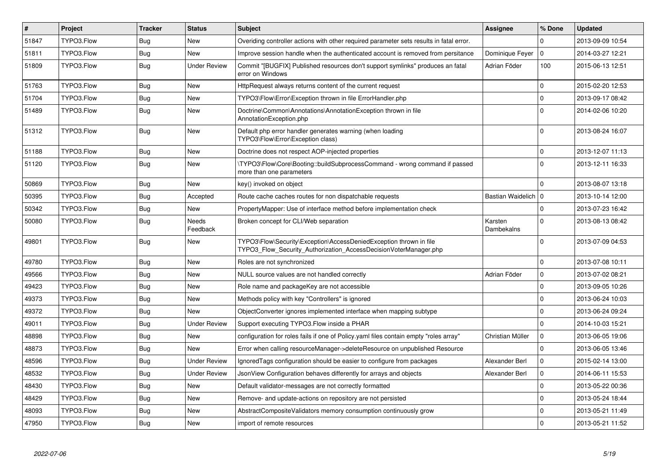| $\vert$ # | Project    | <b>Tracker</b> | <b>Status</b>       | <b>Subject</b>                                                                                                                         | <b>Assignee</b>       | % Done      | <b>Updated</b>   |
|-----------|------------|----------------|---------------------|----------------------------------------------------------------------------------------------------------------------------------------|-----------------------|-------------|------------------|
| 51847     | TYPO3.Flow | Bug            | <b>New</b>          | Overiding controller actions with other required parameter sets results in fatal error.                                                |                       | 0           | 2013-09-09 10:54 |
| 51811     | TYPO3.Flow | <b>Bug</b>     | <b>New</b>          | Improve session handle when the authenticated account is removed from persitance                                                       | Dominique Feyer       | $\mathbf 0$ | 2014-03-27 12:21 |
| 51809     | TYPO3.Flow | Bug            | <b>Under Review</b> | Commit "[BUGFIX] Published resources don't support symlinks" produces an fatal<br>error on Windows                                     | Adrian Föder          | 100         | 2015-06-13 12:51 |
| 51763     | TYPO3.Flow | Bug            | <b>New</b>          | HttpRequest always returns content of the current request                                                                              |                       | $\mathbf 0$ | 2015-02-20 12:53 |
| 51704     | TYPO3.Flow | <b>Bug</b>     | <b>New</b>          | TYPO3\Flow\Error\Exception thrown in file ErrorHandler.php                                                                             |                       | $\mathbf 0$ | 2013-09-17 08:42 |
| 51489     | TYPO3.Flow | Bug            | <b>New</b>          | Doctrine\Common\Annotations\AnnotationException thrown in file<br>AnnotationException.php                                              |                       | $\mathbf 0$ | 2014-02-06 10:20 |
| 51312     | TYPO3.Flow | <b>Bug</b>     | <b>New</b>          | Default php error handler generates warning (when loading<br>TYPO3\Flow\Error\Exception class)                                         |                       | $\Omega$    | 2013-08-24 16:07 |
| 51188     | TYPO3.Flow | <b>Bug</b>     | <b>New</b>          | Doctrine does not respect AOP-injected properties                                                                                      |                       | $\mathbf 0$ | 2013-12-07 11:13 |
| 51120     | TYPO3.Flow | Bug            | New                 | \TYPO3\Flow\Core\Booting::buildSubprocessCommand - wrong command if passed<br>more than one parameters                                 |                       | $\mathbf 0$ | 2013-12-11 16:33 |
| 50869     | TYPO3.Flow | <b>Bug</b>     | <b>New</b>          | key() invoked on object                                                                                                                |                       | $\mathbf 0$ | 2013-08-07 13:18 |
| 50395     | TYPO3.Flow | <b>Bug</b>     | Accepted            | Route cache caches routes for non dispatchable requests                                                                                | Bastian Waidelich   0 |             | 2013-10-14 12:00 |
| 50342     | TYPO3.Flow | <b>Bug</b>     | <b>New</b>          | PropertyMapper: Use of interface method before implementation check                                                                    |                       | 0           | 2013-07-23 16:42 |
| 50080     | TYPO3.Flow | Bug            | Needs<br>Feedback   | Broken concept for CLI/Web separation                                                                                                  | Karsten<br>Dambekalns | 0           | 2013-08-13 08:42 |
| 49801     | TYPO3.Flow | Bug            | New                 | TYPO3\Flow\Security\Exception\AccessDeniedException thrown in file<br>TYPO3 Flow Security Authorization AccessDecisionVoterManager.php |                       | $\mathbf 0$ | 2013-07-09 04:53 |
| 49780     | TYPO3.Flow | <b>Bug</b>     | <b>New</b>          | Roles are not synchronized                                                                                                             |                       | 0           | 2013-07-08 10:11 |
| 49566     | TYPO3.Flow | Bug            | New                 | NULL source values are not handled correctly                                                                                           | Adrian Föder          | $\mathbf 0$ | 2013-07-02 08:21 |
| 49423     | TYPO3.Flow | <b>Bug</b>     | <b>New</b>          | Role name and packageKey are not accessible                                                                                            |                       | 0           | 2013-09-05 10:26 |
| 49373     | TYPO3.Flow | Bug            | New                 | Methods policy with key "Controllers" is ignored                                                                                       |                       | 0           | 2013-06-24 10:03 |
| 49372     | TYPO3.Flow | <b>Bug</b>     | <b>New</b>          | ObjectConverter ignores implemented interface when mapping subtype                                                                     |                       | 0           | 2013-06-24 09:24 |
| 49011     | TYPO3.Flow | Bug            | <b>Under Review</b> | Support executing TYPO3. Flow inside a PHAR                                                                                            |                       | $\mathbf 0$ | 2014-10-03 15:21 |
| 48898     | TYPO3.Flow | <b>Bug</b>     | New                 | configuration for roles fails if one of Policy yaml files contain empty "roles array"                                                  | Christian Müller      | $\mathbf 0$ | 2013-06-05 19:06 |
| 48873     | TYPO3.Flow | <b>Bug</b>     | <b>New</b>          | Error when calling resourceManager->deleteResource on unpublished Resource                                                             |                       | $\Omega$    | 2013-06-05 13:46 |
| 48596     | TYPO3.Flow | Bug            | <b>Under Review</b> | Ignored Tags configuration should be easier to configure from packages                                                                 | Alexander Berl        | $\mathbf 0$ | 2015-02-14 13:00 |
| 48532     | TYPO3.Flow | <b>Bug</b>     | <b>Under Review</b> | JsonView Configuration behaves differently for arrays and objects                                                                      | Alexander Berl        | 0           | 2014-06-11 15:53 |
| 48430     | TYPO3.Flow | <b>Bug</b>     | <b>New</b>          | Default validator-messages are not correctly formatted                                                                                 |                       | $\mathbf 0$ | 2013-05-22 00:36 |
| 48429     | TYPO3.Flow | <b>Bug</b>     | <b>New</b>          | Remove- and update-actions on repository are not persisted                                                                             |                       | $\mathbf 0$ | 2013-05-24 18:44 |
| 48093     | TYPO3.Flow | <b>Bug</b>     | <b>New</b>          | AbstractCompositeValidators memory consumption continuously grow                                                                       |                       | $\mathbf 0$ | 2013-05-21 11:49 |
| 47950     | TYPO3.Flow | <b>Bug</b>     | New                 | import of remote resources                                                                                                             |                       | $\mathbf 0$ | 2013-05-21 11:52 |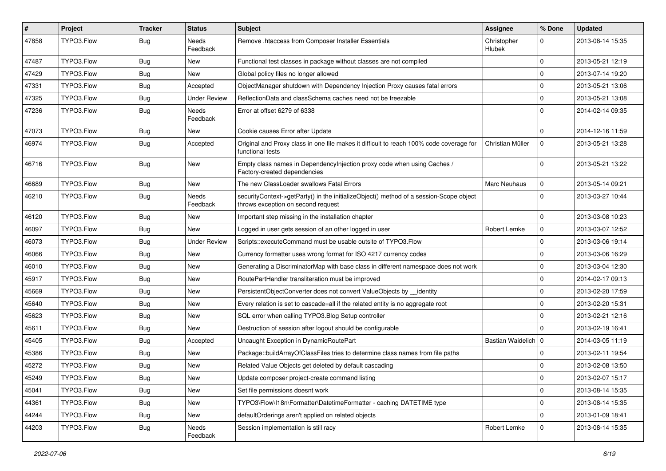| #     | Project    | <b>Tracker</b> | <b>Status</b>            | Subject                                                                                                                      | <b>Assignee</b>              | % Done      | <b>Updated</b>   |
|-------|------------|----------------|--------------------------|------------------------------------------------------------------------------------------------------------------------------|------------------------------|-------------|------------------|
| 47858 | TYPO3.Flow | Bug            | <b>Needs</b><br>Feedback | Remove .htaccess from Composer Installer Essentials                                                                          | Christopher<br><b>Hlubek</b> | 0           | 2013-08-14 15:35 |
| 47487 | TYPO3.Flow | Bug            | New                      | Functional test classes in package without classes are not compiled                                                          |                              | 0           | 2013-05-21 12:19 |
| 47429 | TYPO3.Flow | Bug            | New                      | Global policy files no longer allowed                                                                                        |                              | $\mathbf 0$ | 2013-07-14 19:20 |
| 47331 | TYPO3.Flow | Bug            | Accepted                 | ObjectManager shutdown with Dependency Injection Proxy causes fatal errors                                                   |                              | 0           | 2013-05-21 13:06 |
| 47325 | TYPO3.Flow | Bug            | <b>Under Review</b>      | ReflectionData and classSchema caches need not be freezable                                                                  |                              | 0           | 2013-05-21 13:08 |
| 47236 | TYPO3.Flow | Bug            | <b>Needs</b><br>Feedback | Error at offset 6279 of 6338                                                                                                 |                              | $\Omega$    | 2014-02-14 09:35 |
| 47073 | TYPO3.Flow | <b>Bug</b>     | New                      | Cookie causes Error after Update                                                                                             |                              | 0           | 2014-12-16 11:59 |
| 46974 | TYPO3.Flow | Bug            | Accepted                 | Original and Proxy class in one file makes it difficult to reach 100% code coverage for<br>functional tests                  | Christian Müller             | 0           | 2013-05-21 13:28 |
| 46716 | TYPO3.Flow | <b>Bug</b>     | New                      | Empty class names in Dependencylnjection proxy code when using Caches /<br>Factory-created dependencies                      |                              | $\mathbf 0$ | 2013-05-21 13:22 |
| 46689 | TYPO3.Flow | <b>Bug</b>     | <b>New</b>               | The new ClassLoader swallows Fatal Errors                                                                                    | Marc Neuhaus                 | 0           | 2013-05-14 09:21 |
| 46210 | TYPO3.Flow | Bug            | Needs<br>Feedback        | securityContext->getParty() in the initializeObject() method of a session-Scope object<br>throws exception on second request |                              | $\Omega$    | 2013-03-27 10:44 |
| 46120 | TYPO3.Flow | Bug            | New                      | Important step missing in the installation chapter                                                                           |                              | 0           | 2013-03-08 10:23 |
| 46097 | TYPO3.Flow | <b>Bug</b>     | <b>New</b>               | Logged in user gets session of an other logged in user                                                                       | Robert Lemke                 | 0           | 2013-03-07 12:52 |
| 46073 | TYPO3.Flow | Bug            | <b>Under Review</b>      | Scripts::executeCommand must be usable outsite of TYPO3.Flow                                                                 |                              | 0           | 2013-03-06 19:14 |
| 46066 | TYPO3.Flow | <b>Bug</b>     | New                      | Currency formatter uses wrong format for ISO 4217 currency codes                                                             |                              | $\mathbf 0$ | 2013-03-06 16:29 |
| 46010 | TYPO3.Flow | Bug            | <b>New</b>               | Generating a DiscriminatorMap with base class in different namespace does not work                                           |                              | 0           | 2013-03-04 12:30 |
| 45917 | TYPO3.Flow | Bug            | New                      | RoutePartHandler transliteration must be improved                                                                            |                              | 0           | 2014-02-17 09:13 |
| 45669 | TYPO3.Flow | Bug            | <b>New</b>               | PersistentObjectConverter does not convert ValueObjects by identity                                                          |                              | $\mathbf 0$ | 2013-02-20 17:59 |
| 45640 | TYPO3.Flow | Bug            | New                      | Every relation is set to cascade=all if the related entity is no aggregate root                                              |                              | 0           | 2013-02-20 15:31 |
| 45623 | TYPO3.Flow | <b>Bug</b>     | <b>New</b>               | SQL error when calling TYPO3. Blog Setup controller                                                                          |                              | $\mathbf 0$ | 2013-02-21 12:16 |
| 45611 | TYPO3.Flow | Bug            | <b>New</b>               | Destruction of session after logout should be configurable                                                                   |                              | 0           | 2013-02-19 16:41 |
| 45405 | TYPO3.Flow | <b>Bug</b>     | Accepted                 | Uncaught Exception in DynamicRoutePart                                                                                       | Bastian Waidelich   0        |             | 2014-03-05 11:19 |
| 45386 | TYPO3.Flow | Bug            | New                      | Package::buildArrayOfClassFiles tries to determine class names from file paths                                               |                              | $\mathbf 0$ | 2013-02-11 19:54 |
| 45272 | TYPO3.Flow | Bug            | New                      | Related Value Objects get deleted by default cascading                                                                       |                              | $\mathbf 0$ | 2013-02-08 13:50 |
| 45249 | TYPO3.Flow | <b>Bug</b>     | New                      | Update composer project-create command listing                                                                               |                              | 0           | 2013-02-07 15:17 |
| 45041 | TYPO3.Flow | <b>Bug</b>     | New                      | Set file permissions doesnt work                                                                                             |                              | $\mathbf 0$ | 2013-08-14 15:35 |
| 44361 | TYPO3.Flow | <b>Bug</b>     | New                      | TYPO3\Flow\I18n\Formatter\DatetimeFormatter - caching DATETIME type                                                          |                              | $\mathbf 0$ | 2013-08-14 15:35 |
| 44244 | TYPO3.Flow | <b>Bug</b>     | New                      | defaultOrderings aren't applied on related objects                                                                           |                              | 0           | 2013-01-09 18:41 |
| 44203 | TYPO3.Flow | Bug            | Needs<br>Feedback        | Session implementation is still racy                                                                                         | Robert Lemke                 | $\mathbf 0$ | 2013-08-14 15:35 |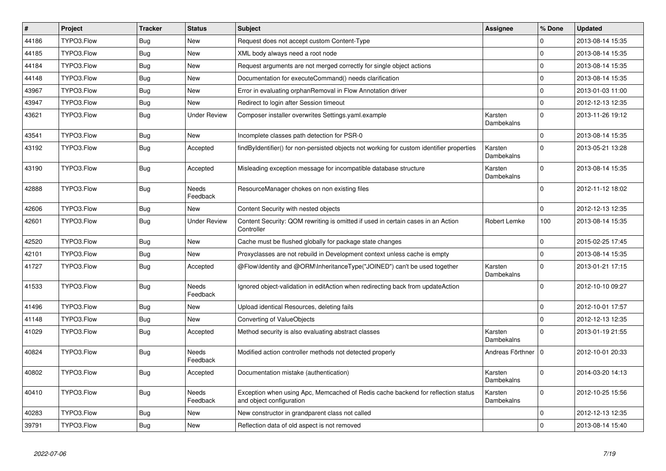| $\vert$ # | Project    | <b>Tracker</b> | <b>Status</b>            | <b>Subject</b>                                                                                               | <b>Assignee</b>       | % Done      | <b>Updated</b>   |
|-----------|------------|----------------|--------------------------|--------------------------------------------------------------------------------------------------------------|-----------------------|-------------|------------------|
| 44186     | TYPO3.Flow | Bug            | New                      | Request does not accept custom Content-Type                                                                  |                       | $\Omega$    | 2013-08-14 15:35 |
| 44185     | TYPO3.Flow | Bug            | New                      | XML body always need a root node                                                                             |                       | $\Omega$    | 2013-08-14 15:35 |
| 44184     | TYPO3.Flow | <b>Bug</b>     | New                      | Request arguments are not merged correctly for single object actions                                         |                       | $\mathbf 0$ | 2013-08-14 15:35 |
| 44148     | TYPO3.Flow | <b>Bug</b>     | New                      | Documentation for executeCommand() needs clarification                                                       |                       | $\mathbf 0$ | 2013-08-14 15:35 |
| 43967     | TYPO3.Flow | Bug            | New                      | Error in evaluating orphanRemoval in Flow Annotation driver                                                  |                       | $\mathbf 0$ | 2013-01-03 11:00 |
| 43947     | TYPO3.Flow | <b>Bug</b>     | New                      | Redirect to login after Session timeout                                                                      |                       | $\Omega$    | 2012-12-13 12:35 |
| 43621     | TYPO3.Flow | <b>Bug</b>     | <b>Under Review</b>      | Composer installer overwrites Settings.yaml.example                                                          | Karsten<br>Dambekalns | $\Omega$    | 2013-11-26 19:12 |
| 43541     | TYPO3.Flow | <b>Bug</b>     | <b>New</b>               | Incomplete classes path detection for PSR-0                                                                  |                       | $\mathbf 0$ | 2013-08-14 15:35 |
| 43192     | TYPO3.Flow | <b>Bug</b>     | Accepted                 | findByIdentifier() for non-persisted objects not working for custom identifier properties                    | Karsten<br>Dambekalns | $\Omega$    | 2013-05-21 13:28 |
| 43190     | TYPO3.Flow | Bug            | Accepted                 | Misleading exception message for incompatible database structure                                             | Karsten<br>Dambekalns | $\Omega$    | 2013-08-14 15:35 |
| 42888     | TYPO3.Flow | <b>Bug</b>     | <b>Needs</b><br>Feedback | ResourceManager chokes on non existing files                                                                 |                       | $\Omega$    | 2012-11-12 18:02 |
| 42606     | TYPO3.Flow | Bug            | <b>New</b>               | Content Security with nested objects                                                                         |                       | $\Omega$    | 2012-12-13 12:35 |
| 42601     | TYPO3.Flow | <b>Bug</b>     | <b>Under Review</b>      | Content Security: QOM rewriting is omitted if used in certain cases in an Action<br>Controller               | Robert Lemke          | 100         | 2013-08-14 15:35 |
| 42520     | TYPO3.Flow | Bug            | <b>New</b>               | Cache must be flushed globally for package state changes                                                     |                       | $\Omega$    | 2015-02-25 17:45 |
| 42101     | TYPO3.Flow | Bug            | <b>New</b>               | Proxyclasses are not rebuild in Development context unless cache is empty                                    |                       | $\mathbf 0$ | 2013-08-14 15:35 |
| 41727     | TYPO3.Flow | <b>Bug</b>     | Accepted                 | @Flow\Identity and @ORM\InheritanceType("JOINED") can't be used together                                     | Karsten<br>Dambekalns | $\Omega$    | 2013-01-21 17:15 |
| 41533     | TYPO3.Flow | <b>Bug</b>     | Needs<br>Feedback        | Ignored object-validation in editAction when redirecting back from updateAction                              |                       | $\mathbf 0$ | 2012-10-10 09:27 |
| 41496     | TYPO3.Flow | <b>Bug</b>     | New                      | Upload identical Resources, deleting fails                                                                   |                       | $\mathbf 0$ | 2012-10-01 17:57 |
| 41148     | TYPO3.Flow | <b>Bug</b>     | New                      | Converting of ValueObjects                                                                                   |                       | $\Omega$    | 2012-12-13 12:35 |
| 41029     | TYPO3.Flow | Bug            | Accepted                 | Method security is also evaluating abstract classes                                                          | Karsten<br>Dambekalns | $\Omega$    | 2013-01-19 21:55 |
| 40824     | TYPO3.Flow | <b>Bug</b>     | Needs<br>Feedback        | Modified action controller methods not detected properly                                                     | Andreas Förthner   0  |             | 2012-10-01 20:33 |
| 40802     | TYPO3.Flow | <b>Bug</b>     | Accepted                 | Documentation mistake (authentication)                                                                       | Karsten<br>Dambekalns | $\Omega$    | 2014-03-20 14:13 |
| 40410     | TYPO3.Flow | <b>Bug</b>     | Needs<br>Feedback        | Exception when using Apc, Memcached of Redis cache backend for reflection status<br>and object configuration | Karsten<br>Dambekalns | $\mathbf 0$ | 2012-10-25 15:56 |
| 40283     | TYPO3.Flow | <b>Bug</b>     | New                      | New constructor in grandparent class not called                                                              |                       | $\mathbf 0$ | 2012-12-13 12:35 |
| 39791     | TYPO3.Flow | <b>Bug</b>     | New                      | Reflection data of old aspect is not removed                                                                 |                       | $\Omega$    | 2013-08-14 15:40 |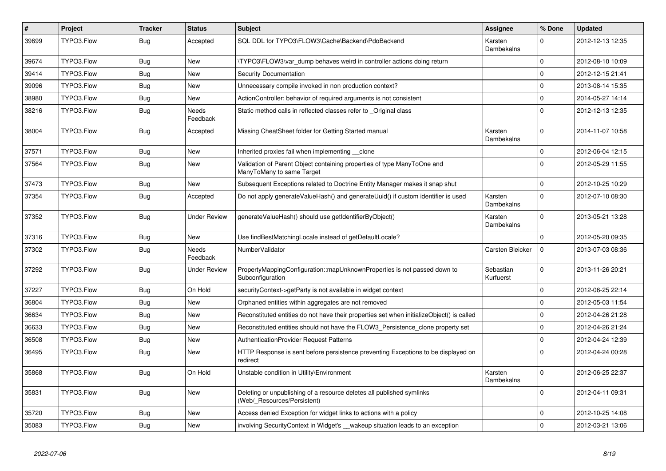| $\vert$ # | Project    | <b>Tracker</b> | <b>Status</b>       | <b>Subject</b>                                                                                       | <b>Assignee</b>        | % Done         | <b>Updated</b>   |
|-----------|------------|----------------|---------------------|------------------------------------------------------------------------------------------------------|------------------------|----------------|------------------|
| 39699     | TYPO3.Flow | <b>Bug</b>     | Accepted            | SQL DDL for TYPO3\FLOW3\Cache\Backend\PdoBackend                                                     | Karsten<br>Dambekalns  | $\Omega$       | 2012-12-13 12:35 |
| 39674     | TYPO3.Flow | Bug            | <b>New</b>          | TYPO3\FLOW3\var dump behaves weird in controller actions doing return                                |                        | $\overline{0}$ | 2012-08-10 10:09 |
| 39414     | TYPO3.Flow | Bug            | <b>New</b>          | <b>Security Documentation</b>                                                                        |                        | $\mathbf 0$    | 2012-12-15 21:41 |
| 39096     | TYPO3.Flow | Bug            | New                 | Unnecessary compile invoked in non production context?                                               |                        | $\mathbf 0$    | 2013-08-14 15:35 |
| 38980     | TYPO3.Flow | <b>Bug</b>     | <b>New</b>          | ActionController: behavior of required arguments is not consistent                                   |                        | 0              | 2014-05-27 14:14 |
| 38216     | TYPO3.Flow | Bug            | Needs<br>Feedback   | Static method calls in reflected classes refer to Original class                                     |                        | 0              | 2012-12-13 12:35 |
| 38004     | TYPO3.Flow | <b>Bug</b>     | Accepted            | Missing CheatSheet folder for Getting Started manual                                                 | Karsten<br>Dambekalns  | $\Omega$       | 2014-11-07 10:58 |
| 37571     | TYPO3.Flow | <b>Bug</b>     | <b>New</b>          | Inherited proxies fail when implementing clone                                                       |                        | $\overline{0}$ | 2012-06-04 12:15 |
| 37564     | TYPO3.Flow | Bug            | <b>New</b>          | Validation of Parent Object containing properties of type ManyToOne and<br>ManyToMany to same Target |                        | $\Omega$       | 2012-05-29 11:55 |
| 37473     | TYPO3.Flow | Bug            | New                 | Subsequent Exceptions related to Doctrine Entity Manager makes it snap shut                          |                        | $\overline{0}$ | 2012-10-25 10:29 |
| 37354     | TYPO3.Flow | Bug            | Accepted            | Do not apply generateValueHash() and generateUuid() if custom identifier is used                     | Karsten<br>Dambekalns  | $\Omega$       | 2012-07-10 08:30 |
| 37352     | TYPO3.Flow | Bug            | <b>Under Review</b> | generateValueHash() should use getIdentifierByObject()                                               | Karsten<br>Dambekalns  | $\mathbf 0$    | 2013-05-21 13:28 |
| 37316     | TYPO3.Flow | <b>Bug</b>     | <b>New</b>          | Use findBestMatchingLocale instead of getDefaultLocale?                                              |                        | $\overline{0}$ | 2012-05-20 09:35 |
| 37302     | TYPO3.Flow | Bug            | Needs<br>Feedback   | NumberValidator                                                                                      | Carsten Bleicker       | $\mathbf 0$    | 2013-07-03 08:36 |
| 37292     | TYPO3.Flow | <b>Bug</b>     | <b>Under Review</b> | PropertyMappingConfiguration::mapUnknownProperties is not passed down to<br>Subconfiguration         | Sebastian<br>Kurfuerst | $\mathbf 0$    | 2013-11-26 20:21 |
| 37227     | TYPO3.Flow | <b>Bug</b>     | On Hold             | securityContext->getParty is not available in widget context                                         |                        | $\mathbf 0$    | 2012-06-25 22:14 |
| 36804     | TYPO3.Flow | Bug            | New                 | Orphaned entities within aggregates are not removed                                                  |                        | $\mathbf 0$    | 2012-05-03 11:54 |
| 36634     | TYPO3.Flow | Bug            | <b>New</b>          | Reconstituted entities do not have their properties set when initializeObject() is called            |                        | 0              | 2012-04-26 21:28 |
| 36633     | TYPO3.Flow | Bug            | <b>New</b>          | Reconstituted entities should not have the FLOW3 Persistence clone property set                      |                        | $\mathbf 0$    | 2012-04-26 21:24 |
| 36508     | TYPO3.Flow | <b>Bug</b>     | New                 | <b>AuthenticationProvider Request Patterns</b>                                                       |                        | 0              | 2012-04-24 12:39 |
| 36495     | TYPO3.Flow | <b>Bug</b>     | New                 | HTTP Response is sent before persistence preventing Exceptions to be displayed on<br>redirect        |                        | $\mathbf 0$    | 2012-04-24 00:28 |
| 35868     | TYPO3.Flow | <b>Bug</b>     | On Hold             | Unstable condition in Utility\Environment                                                            | Karsten<br>Dambekalns  | $\Omega$       | 2012-06-25 22:37 |
| 35831     | TYPO3.Flow | Bug            | <b>New</b>          | Deleting or unpublishing of a resource deletes all published symlinks<br>(Web/_Resources/Persistent) |                        | $\overline{0}$ | 2012-04-11 09:31 |
| 35720     | TYPO3.Flow | <b>Bug</b>     | <b>New</b>          | Access denied Exception for widget links to actions with a policy                                    |                        | $\pmb{0}$      | 2012-10-25 14:08 |
| 35083     | TYPO3.Flow | Bug            | <b>New</b>          | involving SecurityContext in Widget's __wakeup situation leads to an exception                       |                        | $\Omega$       | 2012-03-21 13:06 |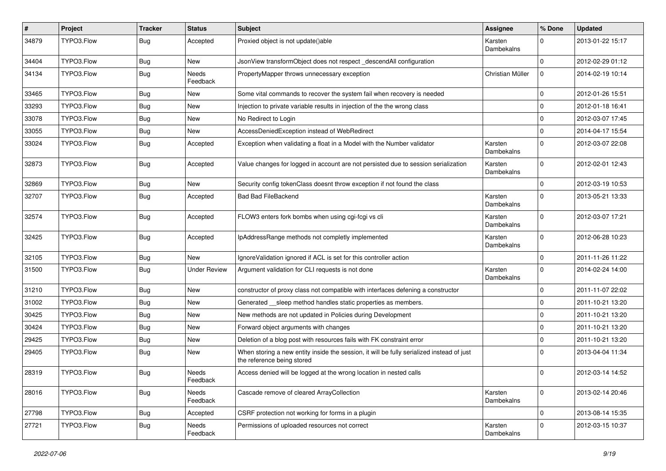| $\pmb{\#}$ | Project    | <b>Tracker</b> | <b>Status</b>            | Subject                                                                                                                 | <b>Assignee</b>       | % Done      | <b>Updated</b>   |
|------------|------------|----------------|--------------------------|-------------------------------------------------------------------------------------------------------------------------|-----------------------|-------------|------------------|
| 34879      | TYPO3.Flow | <b>Bug</b>     | Accepted                 | Proxied object is not update()able                                                                                      | Karsten<br>Dambekalns | $\Omega$    | 2013-01-22 15:17 |
| 34404      | TYPO3.Flow | <b>Bug</b>     | New                      | JsonView transformObject does not respect descendAll configuration                                                      |                       | $\Omega$    | 2012-02-29 01:12 |
| 34134      | TYPO3.Flow | Bug            | <b>Needs</b><br>Feedback | PropertyMapper throws unnecessary exception                                                                             | Christian Müller      | $\Omega$    | 2014-02-19 10:14 |
| 33465      | TYPO3.Flow | <b>Bug</b>     | New                      | Some vital commands to recover the system fail when recovery is needed                                                  |                       | $\Omega$    | 2012-01-26 15:51 |
| 33293      | TYPO3.Flow | <b>Bug</b>     | <b>New</b>               | Injection to private variable results in injection of the the wrong class                                               |                       | $\Omega$    | 2012-01-18 16:41 |
| 33078      | TYPO3.Flow | <b>Bug</b>     | New                      | No Redirect to Login                                                                                                    |                       | $\mathbf 0$ | 2012-03-07 17:45 |
| 33055      | TYPO3.Flow | <b>Bug</b>     | <b>New</b>               | AccessDeniedException instead of WebRedirect                                                                            |                       | $\mathbf 0$ | 2014-04-17 15:54 |
| 33024      | TYPO3.Flow | Bug            | Accepted                 | Exception when validating a float in a Model with the Number validator                                                  | Karsten<br>Dambekalns | $\Omega$    | 2012-03-07 22:08 |
| 32873      | TYPO3.Flow | <b>Bug</b>     | Accepted                 | Value changes for logged in account are not persisted due to session serialization                                      | Karsten<br>Dambekalns | $\Omega$    | 2012-02-01 12:43 |
| 32869      | TYPO3.Flow | <b>Bug</b>     | New                      | Security config tokenClass doesnt throw exception if not found the class                                                |                       | $\Omega$    | 2012-03-19 10:53 |
| 32707      | TYPO3.Flow | <b>Bug</b>     | Accepted                 | <b>Bad Bad FileBackend</b>                                                                                              | Karsten<br>Dambekalns | $\Omega$    | 2013-05-21 13:33 |
| 32574      | TYPO3.Flow | <b>Bug</b>     | Accepted                 | FLOW3 enters fork bombs when using cgi-fcgi vs cli                                                                      | Karsten<br>Dambekalns | $\Omega$    | 2012-03-07 17:21 |
| 32425      | TYPO3.Flow | <b>Bug</b>     | Accepted                 | IpAddressRange methods not completly implemented                                                                        | Karsten<br>Dambekalns | $\Omega$    | 2012-06-28 10:23 |
| 32105      | TYPO3.Flow | Bug            | New                      | IgnoreValidation ignored if ACL is set for this controller action                                                       |                       | 0           | 2011-11-26 11:22 |
| 31500      | TYPO3.Flow | <b>Bug</b>     | <b>Under Review</b>      | Argument validation for CLI requests is not done                                                                        | Karsten<br>Dambekalns | $\Omega$    | 2014-02-24 14:00 |
| 31210      | TYPO3.Flow | Bug            | <b>New</b>               | constructor of proxy class not compatible with interfaces defening a constructor                                        |                       | $\mathbf 0$ | 2011-11-07 22:02 |
| 31002      | TYPO3.Flow | <b>Bug</b>     | New                      | Generated __ sleep method handles static properties as members.                                                         |                       | $\mathbf 0$ | 2011-10-21 13:20 |
| 30425      | TYPO3.Flow | <b>Bug</b>     | <b>New</b>               | New methods are not updated in Policies during Development                                                              |                       | $\Omega$    | 2011-10-21 13:20 |
| 30424      | TYPO3.Flow | <b>Bug</b>     | New                      | Forward object arguments with changes                                                                                   |                       | $\mathbf 0$ | 2011-10-21 13:20 |
| 29425      | TYPO3.Flow | Bug            | New                      | Deletion of a blog post with resources fails with FK constraint error                                                   |                       | $\mathbf 0$ | 2011-10-21 13:20 |
| 29405      | TYPO3.Flow | Bug            | New                      | When storing a new entity inside the session, it will be fully serialized instead of just<br>the reference being stored |                       | $\Omega$    | 2013-04-04 11:34 |
| 28319      | TYPO3.Flow | <b>Bug</b>     | Needs<br>Feedback        | Access denied will be logged at the wrong location in nested calls                                                      |                       | $\mathbf 0$ | 2012-03-14 14:52 |
| 28016      | TYPO3.Flow | <b>Bug</b>     | Needs<br>Feedback        | Cascade remove of cleared ArrayCollection                                                                               | Karsten<br>Dambekalns | $\mathbf 0$ | 2013-02-14 20:46 |
| 27798      | TYPO3.Flow | <b>Bug</b>     | Accepted                 | CSRF protection not working for forms in a plugin                                                                       |                       | $\mathbf 0$ | 2013-08-14 15:35 |
| 27721      | TYPO3.Flow | Bug            | Needs<br>Feedback        | Permissions of uploaded resources not correct                                                                           | Karsten<br>Dambekalns | $\mathbf 0$ | 2012-03-15 10:37 |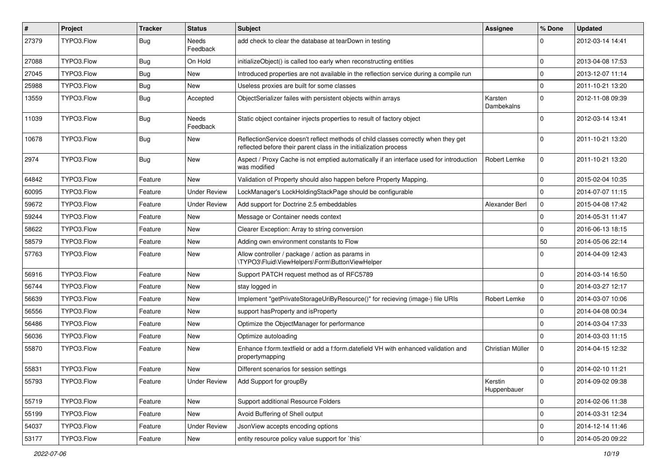| $\vert$ # | Project    | <b>Tracker</b> | <b>Status</b>            | <b>Subject</b>                                                                                                                                          | Assignee               | % Done              | <b>Updated</b>   |
|-----------|------------|----------------|--------------------------|---------------------------------------------------------------------------------------------------------------------------------------------------------|------------------------|---------------------|------------------|
| 27379     | TYPO3.Flow | <b>Bug</b>     | <b>Needs</b><br>Feedback | add check to clear the database at tearDown in testing                                                                                                  |                        | $\Omega$            | 2012-03-14 14:41 |
| 27088     | TYPO3.Flow | Bug            | On Hold                  | initializeObject() is called too early when reconstructing entities                                                                                     |                        | $\mathbf 0$         | 2013-04-08 17:53 |
| 27045     | TYPO3.Flow | <b>Bug</b>     | <b>New</b>               | Introduced properties are not available in the reflection service during a compile run                                                                  |                        | 0                   | 2013-12-07 11:14 |
| 25988     | TYPO3.Flow | <b>Bug</b>     | <b>New</b>               | Useless proxies are built for some classes                                                                                                              |                        | $\mathbf 0$         | 2011-10-21 13:20 |
| 13559     | TYPO3.Flow | Bug            | Accepted                 | ObjectSerializer failes with persistent objects within arrays                                                                                           | Karsten<br>Dambekalns  | 0                   | 2012-11-08 09:39 |
| 11039     | TYPO3.Flow | <b>Bug</b>     | <b>Needs</b><br>Feedback | Static object container injects properties to result of factory object                                                                                  |                        | 0                   | 2012-03-14 13:41 |
| 10678     | TYPO3.Flow | <b>Bug</b>     | <b>New</b>               | ReflectionService doesn't reflect methods of child classes correctly when they get<br>reflected before their parent class in the initialization process |                        | 0                   | 2011-10-21 13:20 |
| 2974      | TYPO3.Flow | <b>Bug</b>     | <b>New</b>               | Aspect / Proxy Cache is not emptied automatically if an interface used for introduction<br>was modified                                                 | Robert Lemke           | $\mathbf 0$         | 2011-10-21 13:20 |
| 64842     | TYPO3.Flow | Feature        | <b>New</b>               | Validation of Property should also happen before Property Mapping.                                                                                      |                        | $\mathbf 0$         | 2015-02-04 10:35 |
| 60095     | TYPO3.Flow | Feature        | <b>Under Review</b>      | LockManager's LockHoldingStackPage should be configurable                                                                                               |                        | $\Omega$            | 2014-07-07 11:15 |
| 59672     | TYPO3.Flow | Feature        | <b>Under Review</b>      | Add support for Doctrine 2.5 embeddables                                                                                                                | Alexander Berl         | 0                   | 2015-04-08 17:42 |
| 59244     | TYPO3.Flow | Feature        | <b>New</b>               | Message or Container needs context                                                                                                                      |                        | 0                   | 2014-05-31 11:47 |
| 58622     | TYPO3.Flow | Feature        | <b>New</b>               | Clearer Exception: Array to string conversion                                                                                                           |                        | $\mathbf 0$         | 2016-06-13 18:15 |
| 58579     | TYPO3.Flow | Feature        | New                      | Adding own environment constants to Flow                                                                                                                |                        | 50                  | 2014-05-06 22:14 |
| 57763     | TYPO3.Flow | Feature        | <b>New</b>               | Allow controller / package / action as params in<br>\TYPO3\Fluid\ViewHelpers\Form\ButtonViewHelper                                                      |                        | $\Omega$            | 2014-04-09 12:43 |
| 56916     | TYPO3.Flow | Feature        | <b>New</b>               | Support PATCH request method as of RFC5789                                                                                                              |                        | $\mathbf 0$         | 2014-03-14 16:50 |
| 56744     | TYPO3.Flow | Feature        | <b>New</b>               | stay logged in                                                                                                                                          |                        | $\mathbf 0$         | 2014-03-27 12:17 |
| 56639     | TYPO3.Flow | Feature        | New                      | Implement "getPrivateStorageUriByResource()" for recieving (image-) file URIs                                                                           | Robert Lemke           | 0                   | 2014-03-07 10:06 |
| 56556     | TYPO3.Flow | Feature        | New                      | support has Property and is Property                                                                                                                    |                        | $\mathbf 0$         | 2014-04-08 00:34 |
| 56486     | TYPO3.Flow | Feature        | <b>New</b>               | Optimize the ObjectManager for performance                                                                                                              |                        | 0                   | 2014-03-04 17:33 |
| 56036     | TYPO3.Flow | Feature        | New                      | Optimize autoloading                                                                                                                                    |                        | 0                   | 2014-03-03 11:15 |
| 55870     | TYPO3.Flow | Feature        | <b>New</b>               | Enhance f:form.textfield or add a f:form.datefield VH with enhanced validation and<br>propertymapping                                                   | Christian Müller       | $\mathbf 0$         | 2014-04-15 12:32 |
| 55831     | TYPO3.Flow | Feature        | New                      | Different scenarios for session settings                                                                                                                |                        | $\mathbf 0$         | 2014-02-10 11:21 |
| 55793     | TYPO3.Flow | Feature        | <b>Under Review</b>      | Add Support for groupBy                                                                                                                                 | Kerstin<br>Huppenbauer | $\mathsf 0$         | 2014-09-02 09:38 |
| 55719     | TYPO3.Flow | Feature        | New                      | Support additional Resource Folders                                                                                                                     |                        | $\mathbf 0$         | 2014-02-06 11:38 |
| 55199     | TYPO3.Flow | Feature        | New                      | Avoid Buffering of Shell output                                                                                                                         |                        | $\mathbf 0$         | 2014-03-31 12:34 |
| 54037     | TYPO3.Flow | Feature        | <b>Under Review</b>      | JsonView accepts encoding options                                                                                                                       |                        | 0                   | 2014-12-14 11:46 |
| 53177     | TYPO3.Flow | Feature        | New                      | entity resource policy value support for `this`                                                                                                         |                        | $\mathsf{O}\xspace$ | 2014-05-20 09:22 |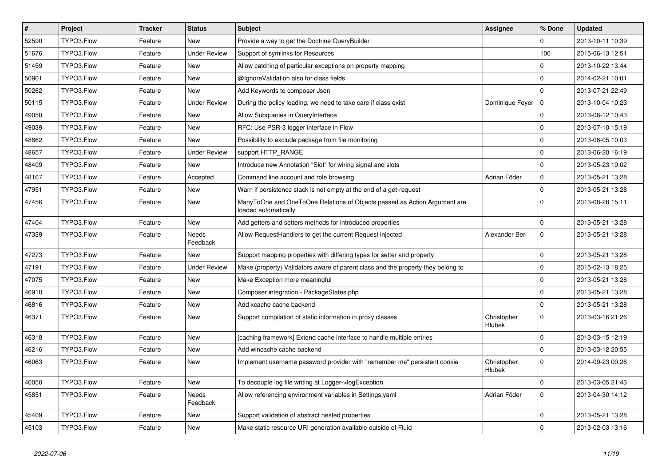| $\vert$ # | Project    | <b>Tracker</b> | <b>Status</b>            | <b>Subject</b>                                                                                    | <b>Assignee</b>       | % Done       | <b>Updated</b>   |
|-----------|------------|----------------|--------------------------|---------------------------------------------------------------------------------------------------|-----------------------|--------------|------------------|
| 52590     | TYPO3.Flow | Feature        | <b>New</b>               | Provide a way to get the Doctrine QueryBuilder                                                    |                       | 0            | 2013-10-11 10:39 |
| 51676     | TYPO3.Flow | Feature        | <b>Under Review</b>      | Support of symlinks for Resources                                                                 |                       | 100          | 2015-06-13 12:51 |
| 51459     | TYPO3.Flow | Feature        | New                      | Allow catching of particular exceptions on property mapping                                       |                       | 0            | 2013-10-22 13:44 |
| 50901     | TYPO3.Flow | Feature        | New                      | @IgnoreValidation also for class fields                                                           |                       | $\mathbf 0$  | 2014-02-21 10:01 |
| 50262     | TYPO3.Flow | Feature        | <b>New</b>               | Add Keywords to composer Json                                                                     |                       | 0            | 2013-07-21 22:49 |
| 50115     | TYPO3.Flow | Feature        | <b>Under Review</b>      | During the policy loading, we need to take care if class exist                                    | Dominique Feyer       | 0            | 2013-10-04 10:23 |
| 49050     | TYPO3.Flow | Feature        | New                      | Allow Subqueries in QueryInterface                                                                |                       | 0            | 2013-06-12 10:43 |
| 49039     | TYPO3.Flow | Feature        | <b>New</b>               | RFC: Use PSR-3 logger interface in Flow                                                           |                       | $\mathbf 0$  | 2013-07-10 15:19 |
| 48862     | TYPO3.Flow | Feature        | New                      | Possibility to exclude package from file monitoring                                               |                       | 0            | 2013-06-05 10:03 |
| 48657     | TYPO3.Flow | Feature        | <b>Under Review</b>      | support HTTP_RANGE                                                                                |                       | $\mathbf 0$  | 2013-06-20 16:19 |
| 48409     | TYPO3.Flow | Feature        | New                      | Introduce new Annotation "Slot" for wiring signal and slots                                       |                       | $\mathbf 0$  | 2013-05-23 19:02 |
| 48167     | TYPO3.Flow | Feature        | Accepted                 | Command line account and role browsing                                                            | Adrian Föder          | 0            | 2013-05-21 13:28 |
| 47951     | TYPO3.Flow | Feature        | <b>New</b>               | Warn if persistence stack is not empty at the end of a get-request                                |                       | 0            | 2013-05-21 13:28 |
| 47456     | TYPO3.Flow | Feature        | <b>New</b>               | ManyToOne and OneToOne Relations of Objects passed as Action Argument are<br>loaded automatically |                       | $\mathbf 0$  | 2013-08-28 15:11 |
| 47404     | TYPO3.Flow | Feature        | <b>New</b>               | Add getters and setters methods for introduced properties                                         |                       | $\mathbf 0$  | 2013-05-21 13:28 |
| 47339     | TYPO3.Flow | Feature        | <b>Needs</b><br>Feedback | Allow RequestHandlers to get the current Request injected                                         | Alexander Berl        | $\mathbf 0$  | 2013-05-21 13:28 |
| 47273     | TYPO3.Flow | Feature        | <b>New</b>               | Support mapping properties with differing types for setter and property                           |                       | $\Omega$     | 2013-05-21 13:28 |
| 47191     | TYPO3.Flow | Feature        | <b>Under Review</b>      | Make (property) Validators aware of parent class and the property they belong to                  |                       | $\mathbf 0$  | 2015-02-13 18:25 |
| 47075     | TYPO3.Flow | Feature        | <b>New</b>               | Make Exception more meaningful                                                                    |                       | 0            | 2013-05-21 13:28 |
| 46910     | TYPO3.Flow | Feature        | <b>New</b>               | Composer integration - PackageStates.php                                                          |                       | 0            | 2013-05-21 13:28 |
| 46816     | TYPO3.Flow | Feature        | <b>New</b>               | Add xcache cache backend                                                                          |                       | $\mathbf{0}$ | 2013-05-21 13:28 |
| 46371     | TYPO3.Flow | Feature        | New                      | Support compilation of static information in proxy classes                                        | Christopher<br>Hlubek | $\mathbf 0$  | 2013-03-16 21:26 |
| 46318     | TYPO3.Flow | Feature        | New                      | [caching framework] Extend cache interface to handle multiple entries                             |                       | $\mathbf 0$  | 2013-03-15 12:19 |
| 46216     | TYPO3.Flow | Feature        | <b>New</b>               | Add wincache cache backend                                                                        |                       | $\mathbf 0$  | 2013-03-12 20:55 |
| 46063     | TYPO3.Flow | Feature        | <b>New</b>               | Implement username password provider with "remember me" persistent cookie                         | Christopher<br>Hlubek | $\mathbf 0$  | 2014-09-23 00:26 |
| 46050     | TYPO3.Flow | Feature        | New                      | To decouple log file writing at Logger->logException                                              |                       | $\mathbf 0$  | 2013-03-05 21:43 |
| 45851     | TYPO3.Flow | Feature        | Needs<br>Feedback        | Allow referencing environment variables in Settings yaml                                          | Adrian Föder          | 0            | 2013-04-30 14:12 |
| 45409     | TYPO3.Flow | Feature        | New                      | Support validation of abstract nested properties                                                  |                       | 0            | 2013-05-21 13:28 |
| 45103     | TYPO3.Flow | Feature        | New                      | Make static resource URI generation available outside of Fluid                                    |                       | $\Omega$     | 2013-02-03 13:16 |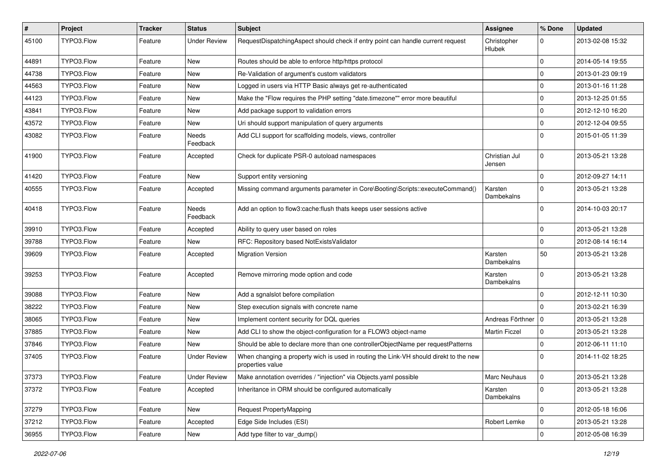| #     | Project    | <b>Tracker</b> | <b>Status</b>       | Subject                                                                                                   | Assignee                | % Done         | <b>Updated</b>   |
|-------|------------|----------------|---------------------|-----------------------------------------------------------------------------------------------------------|-------------------------|----------------|------------------|
| 45100 | TYPO3.Flow | Feature        | <b>Under Review</b> | RequestDispatchingAspect should check if entry point can handle current request                           | Christopher<br>Hlubek   | $\Omega$       | 2013-02-08 15:32 |
| 44891 | TYPO3.Flow | Feature        | New                 | Routes should be able to enforce http/https protocol                                                      |                         | $\mathbf 0$    | 2014-05-14 19:55 |
| 44738 | TYPO3.Flow | Feature        | New                 | Re-Validation of argument's custom validators                                                             |                         | $\mathbf 0$    | 2013-01-23 09:19 |
| 44563 | TYPO3.Flow | Feature        | New                 | Logged in users via HTTP Basic always get re-authenticated                                                |                         | $\mathbf 0$    | 2013-01-16 11:28 |
| 44123 | TYPO3.Flow | Feature        | New                 | Make the "Flow requires the PHP setting "date.timezone"" error more beautiful                             |                         | $\mathbf 0$    | 2013-12-25 01:55 |
| 43841 | TYPO3.Flow | Feature        | New                 | Add package support to validation errors                                                                  |                         | $\mathbf 0$    | 2012-12-10 16:20 |
| 43572 | TYPO3.Flow | Feature        | New                 | Uri should support manipulation of query arguments                                                        |                         | $\mathbf 0$    | 2012-12-04 09:55 |
| 43082 | TYPO3.Flow | Feature        | Needs<br>Feedback   | Add CLI support for scaffolding models, views, controller                                                 |                         | $\Omega$       | 2015-01-05 11:39 |
| 41900 | TYPO3.Flow | Feature        | Accepted            | Check for duplicate PSR-0 autoload namespaces                                                             | Christian Jul<br>Jensen | $\Omega$       | 2013-05-21 13:28 |
| 41420 | TYPO3.Flow | Feature        | <b>New</b>          | Support entity versioning                                                                                 |                         | $\mathbf 0$    | 2012-09-27 14:11 |
| 40555 | TYPO3.Flow | Feature        | Accepted            | Missing command arguments parameter in Core\Booting\Scripts::executeCommand()                             | Karsten<br>Dambekalns   | $\Omega$       | 2013-05-21 13:28 |
| 40418 | TYPO3.Flow | Feature        | Needs<br>Feedback   | Add an option to flow3:cache: flush thats keeps user sessions active                                      |                         | $\Omega$       | 2014-10-03 20:17 |
| 39910 | TYPO3.Flow | Feature        | Accepted            | Ability to query user based on roles                                                                      |                         | $\mathbf 0$    | 2013-05-21 13:28 |
| 39788 | TYPO3.Flow | Feature        | New                 | RFC: Repository based NotExistsValidator                                                                  |                         | $\Omega$       | 2012-08-14 16:14 |
| 39609 | TYPO3.Flow | Feature        | Accepted            | <b>Migration Version</b>                                                                                  | Karsten<br>Dambekalns   | 50             | 2013-05-21 13:28 |
| 39253 | TYPO3.Flow | Feature        | Accepted            | Remove mirroring mode option and code                                                                     | Karsten<br>Dambekalns   | $\Omega$       | 2013-05-21 13:28 |
| 39088 | TYPO3.Flow | Feature        | <b>New</b>          | Add a sgnalslot before compilation                                                                        |                         | $\Omega$       | 2012-12-11 10:30 |
| 38222 | TYPO3.Flow | Feature        | New                 | Step execution signals with concrete name                                                                 |                         | $\Omega$       | 2013-02-21 16:39 |
| 38065 | TYPO3.Flow | Feature        | New                 | Implement content security for DQL queries                                                                | Andreas Förthner        | l 0            | 2013-05-21 13:28 |
| 37885 | TYPO3.Flow | Feature        | New                 | Add CLI to show the object-configuration for a FLOW3 object-name                                          | <b>Martin Ficzel</b>    | 0              | 2013-05-21 13:28 |
| 37846 | TYPO3.Flow | Feature        | New                 | Should be able to declare more than one controllerObjectName per requestPatterns                          |                         | $\mathbf 0$    | 2012-06-11 11:10 |
| 37405 | TYPO3.Flow | Feature        | <b>Under Review</b> | When changing a property wich is used in routing the Link-VH should direkt to the new<br>properties value |                         | $\Omega$       | 2014-11-02 18:25 |
| 37373 | TYPO3.Flow | Feature        | <b>Under Review</b> | Make annotation overrides / "injection" via Objects.yaml possible                                         | Marc Neuhaus            | $\overline{0}$ | 2013-05-21 13:28 |
| 37372 | TYPO3.Flow | Feature        | Accepted            | Inheritance in ORM should be configured automatically                                                     | Karsten<br>Dambekalns   | $\Omega$       | 2013-05-21 13:28 |
| 37279 | TYPO3.Flow | Feature        | New                 | Request PropertyMapping                                                                                   |                         | $\mathbf 0$    | 2012-05-18 16:06 |
| 37212 | TYPO3.Flow | Feature        | Accepted            | Edge Side Includes (ESI)                                                                                  | Robert Lemke            | 0              | 2013-05-21 13:28 |
| 36955 | TYPO3.Flow | Feature        | New                 | Add type filter to var_dump()                                                                             |                         | $\pmb{0}$      | 2012-05-08 16:39 |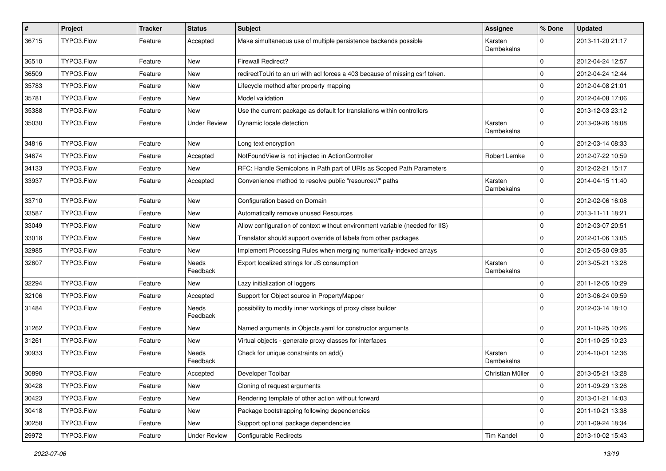| $\pmb{\#}$ | Project    | <b>Tracker</b> | <b>Status</b>       | Subject                                                                      | <b>Assignee</b>       | % Done      | <b>Updated</b>   |
|------------|------------|----------------|---------------------|------------------------------------------------------------------------------|-----------------------|-------------|------------------|
| 36715      | TYPO3.Flow | Feature        | Accepted            | Make simultaneous use of multiple persistence backends possible              | Karsten<br>Dambekalns | 0           | 2013-11-20 21:17 |
| 36510      | TYPO3.Flow | Feature        | New                 | <b>Firewall Redirect?</b>                                                    |                       | 0           | 2012-04-24 12:57 |
| 36509      | TYPO3.Flow | Feature        | New                 | redirectToUri to an uri with acl forces a 403 because of missing csrf token. |                       | 0           | 2012-04-24 12:44 |
| 35783      | TYPO3.Flow | Feature        | <b>New</b>          | Lifecycle method after property mapping                                      |                       | 0           | 2012-04-08 21:01 |
| 35781      | TYPO3.Flow | Feature        | New                 | Model validation                                                             |                       | 0           | 2012-04-08 17:06 |
| 35388      | TYPO3.Flow | Feature        | <b>New</b>          | Use the current package as default for translations within controllers       |                       | $\mathbf 0$ | 2013-12-03 23:12 |
| 35030      | TYPO3.Flow | Feature        | <b>Under Review</b> | Dynamic locale detection                                                     | Karsten<br>Dambekalns | 0           | 2013-09-26 18:08 |
| 34816      | TYPO3.Flow | Feature        | <b>New</b>          | Long text encryption                                                         |                       | 0           | 2012-03-14 08:33 |
| 34674      | TYPO3.Flow | Feature        | Accepted            | NotFoundView is not injected in ActionController                             | Robert Lemke          | 0           | 2012-07-22 10:59 |
| 34133      | TYPO3.Flow | Feature        | New                 | RFC: Handle Semicolons in Path part of URIs as Scoped Path Parameters        |                       | $\mathbf 0$ | 2012-02-21 15:17 |
| 33937      | TYPO3.Flow | Feature        | Accepted            | Convenience method to resolve public "resource://" paths                     | Karsten<br>Dambekalns | $\Omega$    | 2014-04-15 11:40 |
| 33710      | TYPO3.Flow | Feature        | <b>New</b>          | Configuration based on Domain                                                |                       | $\mathbf 0$ | 2012-02-06 16:08 |
| 33587      | TYPO3.Flow | Feature        | New                 | Automatically remove unused Resources                                        |                       | 0           | 2013-11-11 18:21 |
| 33049      | TYPO3.Flow | Feature        | <b>New</b>          | Allow configuration of context without environment variable (needed for IIS) |                       | 0           | 2012-03-07 20:51 |
| 33018      | TYPO3.Flow | Feature        | <b>New</b>          | Translator should support override of labels from other packages             |                       | 0           | 2012-01-06 13:05 |
| 32985      | TYPO3.Flow | Feature        | New                 | Implement Processing Rules when merging numerically-indexed arrays           |                       | $\mathbf 0$ | 2012-05-30 09:35 |
| 32607      | TYPO3.Flow | Feature        | Needs<br>Feedback   | Export localized strings for JS consumption                                  | Karsten<br>Dambekalns | $\mathbf 0$ | 2013-05-21 13:28 |
| 32294      | TYPO3.Flow | Feature        | New                 | Lazy initialization of loggers                                               |                       | 0           | 2011-12-05 10:29 |
| 32106      | TYPO3.Flow | Feature        | Accepted            | Support for Object source in PropertyMapper                                  |                       | $\mathbf 0$ | 2013-06-24 09:59 |
| 31484      | TYPO3.Flow | Feature        | Needs<br>Feedback   | possibility to modify inner workings of proxy class builder                  |                       | $\mathbf 0$ | 2012-03-14 18:10 |
| 31262      | TYPO3.Flow | Feature        | <b>New</b>          | Named arguments in Objects.yaml for constructor arguments                    |                       | 0           | 2011-10-25 10:26 |
| 31261      | TYPO3.Flow | Feature        | New                 | Virtual objects - generate proxy classes for interfaces                      |                       | $\mathbf 0$ | 2011-10-25 10:23 |
| 30933      | TYPO3.Flow | Feature        | Needs<br>Feedback   | Check for unique constraints on add()                                        | Karsten<br>Dambekalns | $\mathbf 0$ | 2014-10-01 12:36 |
| 30890      | TYPO3.Flow | Feature        | Accepted            | Developer Toolbar                                                            | Christian Müller      | $\mathbf 0$ | 2013-05-21 13:28 |
| 30428      | TYPO3.Flow | Feature        | New                 | Cloning of request arguments                                                 |                       | 0           | 2011-09-29 13:26 |
| 30423      | TYPO3.Flow | Feature        | New                 | Rendering template of other action without forward                           |                       | $\mathbf 0$ | 2013-01-21 14:03 |
| 30418      | TYPO3.Flow | Feature        | New                 | Package bootstrapping following dependencies                                 |                       | 0           | 2011-10-21 13:38 |
| 30258      | TYPO3.Flow | Feature        | New                 | Support optional package dependencies                                        |                       | 0           | 2011-09-24 18:34 |
| 29972      | TYPO3.Flow | Feature        | <b>Under Review</b> | Configurable Redirects                                                       | Tim Kandel            | $\mathbf 0$ | 2013-10-02 15:43 |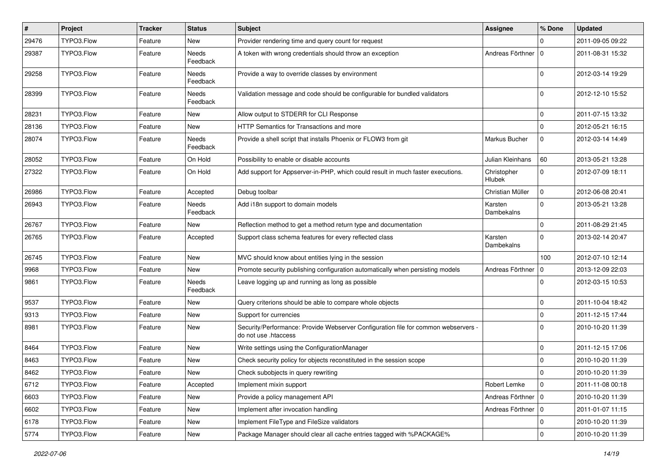| $\sharp$ | Project    | <b>Tracker</b> | <b>Status</b>            | Subject                                                                                                    | <b>Assignee</b>              | % Done              | <b>Updated</b>   |
|----------|------------|----------------|--------------------------|------------------------------------------------------------------------------------------------------------|------------------------------|---------------------|------------------|
| 29476    | TYPO3.Flow | Feature        | <b>New</b>               | Provider rendering time and query count for request                                                        |                              | 0                   | 2011-09-05 09:22 |
| 29387    | TYPO3.Flow | Feature        | Needs<br>Feedback        | A token with wrong credentials should throw an exception                                                   | Andreas Förthner   0         |                     | 2011-08-31 15:32 |
| 29258    | TYPO3.Flow | Feature        | Needs<br>Feedback        | Provide a way to override classes by environment                                                           |                              | $\mathbf 0$         | 2012-03-14 19:29 |
| 28399    | TYPO3.Flow | Feature        | Needs<br>Feedback        | Validation message and code should be configurable for bundled validators                                  |                              | $\Omega$            | 2012-12-10 15:52 |
| 28231    | TYPO3.Flow | Feature        | <b>New</b>               | Allow output to STDERR for CLI Response                                                                    |                              | $\mathbf 0$         | 2011-07-15 13:32 |
| 28136    | TYPO3.Flow | Feature        | New                      | HTTP Semantics for Transactions and more                                                                   |                              | 0                   | 2012-05-21 16:15 |
| 28074    | TYPO3.Flow | Feature        | <b>Needs</b><br>Feedback | Provide a shell script that installs Phoenix or FLOW3 from git                                             | Markus Bucher                | 0                   | 2012-03-14 14:49 |
| 28052    | TYPO3.Flow | Feature        | On Hold                  | Possibility to enable or disable accounts                                                                  | Julian Kleinhans             | 60                  | 2013-05-21 13:28 |
| 27322    | TYPO3.Flow | Feature        | On Hold                  | Add support for Appserver-in-PHP, which could result in much faster executions.                            | Christopher<br><b>Hlubek</b> | $\mathbf 0$         | 2012-07-09 18:11 |
| 26986    | TYPO3.Flow | Feature        | Accepted                 | Debug toolbar                                                                                              | Christian Müller             | 0                   | 2012-06-08 20:41 |
| 26943    | TYPO3.Flow | Feature        | <b>Needs</b><br>Feedback | Add i18n support to domain models                                                                          | Karsten<br>Dambekalns        | 0                   | 2013-05-21 13:28 |
| 26767    | TYPO3.Flow | Feature        | <b>New</b>               | Reflection method to get a method return type and documentation                                            |                              | $\mathbf 0$         | 2011-08-29 21:45 |
| 26765    | TYPO3.Flow | Feature        | Accepted                 | Support class schema features for every reflected class                                                    | Karsten<br>Dambekalns        | 0                   | 2013-02-14 20:47 |
| 26745    | TYPO3.Flow | Feature        | <b>New</b>               | MVC should know about entities lying in the session                                                        |                              | 100                 | 2012-07-10 12:14 |
| 9968     | TYPO3.Flow | Feature        | <b>New</b>               | Promote security publishing configuration automatically when persisting models                             | Andreas Förthner   0         |                     | 2013-12-09 22:03 |
| 9861     | TYPO3.Flow | Feature        | Needs<br>Feedback        | Leave logging up and running as long as possible                                                           |                              | $\Omega$            | 2012-03-15 10:53 |
| 9537     | TYPO3.Flow | Feature        | New                      | Query criterions should be able to compare whole objects                                                   |                              | $\mathbf 0$         | 2011-10-04 18:42 |
| 9313     | TYPO3.Flow | Feature        | <b>New</b>               | Support for currencies                                                                                     |                              | 0                   | 2011-12-15 17:44 |
| 8981     | TYPO3.Flow | Feature        | New                      | Security/Performance: Provide Webserver Configuration file for common webservers -<br>do not use .htaccess |                              | 0                   | 2010-10-20 11:39 |
| 8464     | TYPO3.Flow | Feature        | <b>New</b>               | Write settings using the ConfigurationManager                                                              |                              | 0                   | 2011-12-15 17:06 |
| 8463     | TYPO3.Flow | Feature        | New                      | Check security policy for objects reconstituted in the session scope                                       |                              | 0                   | 2010-10-20 11:39 |
| 8462     | TYPO3.Flow | Feature        | New                      | Check subobjects in query rewriting                                                                        |                              | $\mathbf 0$         | 2010-10-20 11:39 |
| 6712     | TYPO3.Flow | Feature        | Accepted                 | Implement mixin support                                                                                    | Robert Lemke                 | $\mathbf 0$         | 2011-11-08 00:18 |
| 6603     | TYPO3.Flow | Feature        | New                      | Provide a policy management API                                                                            | Andreas Förthner   0         |                     | 2010-10-20 11:39 |
| 6602     | TYPO3.Flow | Feature        | New                      | Implement after invocation handling                                                                        | Andreas Förthner   0         |                     | 2011-01-07 11:15 |
| 6178     | TYPO3.Flow | Feature        | New                      | Implement FileType and FileSize validators                                                                 |                              | $\mathbf 0$         | 2010-10-20 11:39 |
| 5774     | TYPO3.Flow | Feature        | New                      | Package Manager should clear all cache entries tagged with %PACKAGE%                                       |                              | $\mathsf{O}\xspace$ | 2010-10-20 11:39 |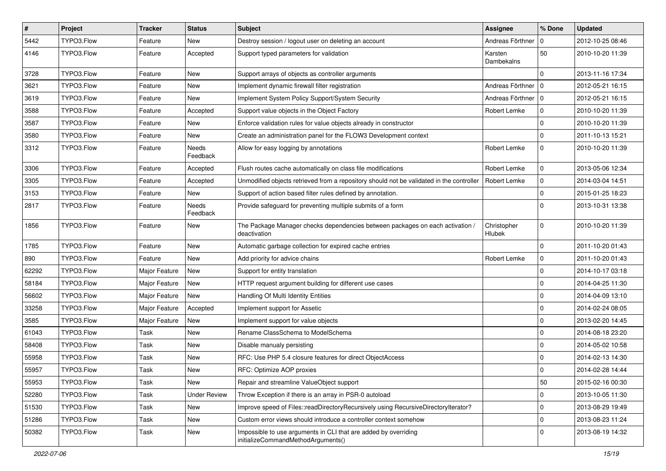| $\vert$ # | Project    | <b>Tracker</b> | <b>Status</b>            | Subject                                                                                               | <b>Assignee</b>              | % Done         | <b>Updated</b>   |
|-----------|------------|----------------|--------------------------|-------------------------------------------------------------------------------------------------------|------------------------------|----------------|------------------|
| 5442      | TYPO3.Flow | Feature        | New                      | Destroy session / logout user on deleting an account                                                  | Andreas Förthner             | l 0            | 2012-10-25 08:46 |
| 4146      | TYPO3.Flow | Feature        | Accepted                 | Support typed parameters for validation                                                               | Karsten<br>Dambekalns        | 50             | 2010-10-20 11:39 |
| 3728      | TYPO3.Flow | Feature        | New                      | Support arrays of objects as controller arguments                                                     |                              | $\Omega$       | 2013-11-16 17:34 |
| 3621      | TYPO3.Flow | Feature        | <b>New</b>               | Implement dynamic firewall filter registration                                                        | Andreas Förthner   0         |                | 2012-05-21 16:15 |
| 3619      | TYPO3.Flow | Feature        | New                      | Implement System Policy Support/System Security                                                       | Andreas Förthner   0         |                | 2012-05-21 16:15 |
| 3588      | TYPO3.Flow | Feature        | Accepted                 | Support value objects in the Object Factory                                                           | Robert Lemke                 | 0              | 2010-10-20 11:39 |
| 3587      | TYPO3.Flow | Feature        | New                      | Enforce validation rules for value objects already in constructor                                     |                              | 0              | 2010-10-20 11:39 |
| 3580      | TYPO3.Flow | Feature        | <b>New</b>               | Create an administration panel for the FLOW3 Development context                                      |                              | $\overline{0}$ | 2011-10-13 15:21 |
| 3312      | TYPO3.Flow | Feature        | Needs<br>Feedback        | Allow for easy logging by annotations                                                                 | Robert Lemke                 | $\mathbf{0}$   | 2010-10-20 11:39 |
| 3306      | TYPO3.Flow | Feature        | Accepted                 | Flush routes cache automatically on class file modifications                                          | Robert Lemke                 | $\mathbf 0$    | 2013-05-06 12:34 |
| 3305      | TYPO3.Flow | Feature        | Accepted                 | Unmodified objects retrieved from a repository should not be validated in the controller              | Robert Lemke                 | 0              | 2014-03-04 14:51 |
| 3153      | TYPO3.Flow | Feature        | New                      | Support of action based filter rules defined by annotation.                                           |                              | $\mathbf 0$    | 2015-01-25 18:23 |
| 2817      | TYPO3.Flow | Feature        | <b>Needs</b><br>Feedback | Provide safeguard for preventing multiple submits of a form                                           |                              | $\Omega$       | 2013-10-31 13:38 |
| 1856      | TYPO3.Flow | Feature        | <b>New</b>               | The Package Manager checks dependencies between packages on each activation /<br>deactivation         | Christopher<br><b>Hlubek</b> | $\Omega$       | 2010-10-20 11:39 |
| 1785      | TYPO3.Flow | Feature        | <b>New</b>               | Automatic garbage collection for expired cache entries                                                |                              | 0              | 2011-10-20 01:43 |
| 890       | TYPO3.Flow | Feature        | <b>New</b>               | Add priority for advice chains                                                                        | Robert Lemke                 | $\mathbf 0$    | 2011-10-20 01:43 |
| 62292     | TYPO3.Flow | Major Feature  | <b>New</b>               | Support for entity translation                                                                        |                              | $\Omega$       | 2014-10-17 03:18 |
| 58184     | TYPO3.Flow | Major Feature  | New                      | HTTP request argument building for different use cases                                                |                              | $\Omega$       | 2014-04-25 11:30 |
| 56602     | TYPO3.Flow | Major Feature  | <b>New</b>               | Handling Of Multi Identity Entities                                                                   |                              | $\Omega$       | 2014-04-09 13:10 |
| 33258     | TYPO3.Flow | Major Feature  | Accepted                 | Implement support for Assetic                                                                         |                              | 0              | 2014-02-24 08:05 |
| 3585      | TYPO3.Flow | Major Feature  | New                      | Implement support for value objects                                                                   |                              | $\mathbf 0$    | 2013-02-20 14:45 |
| 61043     | TYPO3.Flow | Task           | <b>New</b>               | Rename ClassSchema to ModelSchema                                                                     |                              | $\Omega$       | 2014-08-18 23:20 |
| 58408     | TYPO3.Flow | Task           | New                      | Disable manualy persisting                                                                            |                              | $\Omega$       | 2014-05-02 10:58 |
| 55958     | TYPO3.Flow | Task           | New                      | RFC: Use PHP 5.4 closure features for direct ObjectAccess                                             |                              | 0              | 2014-02-13 14:30 |
| 55957     | TYPO3.Flow | Task           | New                      | RFC: Optimize AOP proxies                                                                             |                              | $\Omega$       | 2014-02-28 14:44 |
| 55953     | TYPO3.Flow | Task           | New                      | Repair and streamline ValueObject support                                                             |                              | 50             | 2015-02-16 00:30 |
| 52280     | TYPO3.Flow | Task           | <b>Under Review</b>      | Throw Exception if there is an array in PSR-0 autoload                                                |                              | 0              | 2013-10-05 11:30 |
| 51530     | TYPO3.Flow | Task           | New                      | Improve speed of Files::readDirectoryRecursively using RecursiveDirectoryIterator?                    |                              | 0              | 2013-08-29 19:49 |
| 51286     | TYPO3.Flow | Task           | New                      | Custom error views should introduce a controller context somehow                                      |                              | 0              | 2013-08-23 11:24 |
| 50382     | TYPO3.Flow | Task           | New                      | Impossible to use arguments in CLI that are added by overriding<br>initializeCommandMethodArguments() |                              | l 0            | 2013-08-19 14:32 |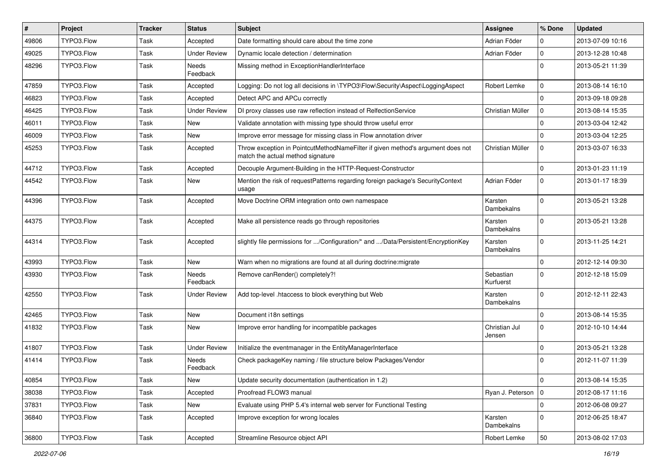| #     | Project    | <b>Tracker</b> | <b>Status</b>            | Subject                                                                                                              | <b>Assignee</b>         | % Done      | <b>Updated</b>   |
|-------|------------|----------------|--------------------------|----------------------------------------------------------------------------------------------------------------------|-------------------------|-------------|------------------|
| 49806 | TYPO3.Flow | <b>Task</b>    | Accepted                 | Date formatting should care about the time zone                                                                      | Adrian Föder            | 0           | 2013-07-09 10:16 |
| 49025 | TYPO3.Flow | Task           | <b>Under Review</b>      | Dynamic locale detection / determination                                                                             | Adrian Föder            | $\mathbf 0$ | 2013-12-28 10:48 |
| 48296 | TYPO3.Flow | Task           | <b>Needs</b><br>Feedback | Missing method in ExceptionHandlerInterface                                                                          |                         | $\Omega$    | 2013-05-21 11:39 |
| 47859 | TYPO3.Flow | <b>Task</b>    | Accepted                 | Logging: Do not log all decisions in \TYPO3\Flow\Security\Aspect\LoggingAspect                                       | Robert Lemke            | 0           | 2013-08-14 16:10 |
| 46823 | TYPO3.Flow | Task           | Accepted                 | Detect APC and APCu correctly                                                                                        |                         | $\mathbf 0$ | 2013-09-18 09:28 |
| 46425 | TYPO3.Flow | Task           | <b>Under Review</b>      | DI proxy classes use raw reflection instead of RelfectionService                                                     | Christian Müller        | $\mathbf 0$ | 2013-08-14 15:35 |
| 46011 | TYPO3.Flow | Task           | New                      | Validate annotation with missing type should throw useful error                                                      |                         | $\mathbf 0$ | 2013-03-04 12:42 |
| 46009 | TYPO3.Flow | <b>Task</b>    | New                      | Improve error message for missing class in Flow annotation driver                                                    |                         | $\Omega$    | 2013-03-04 12:25 |
| 45253 | TYPO3.Flow | Task           | Accepted                 | Throw exception in PointcutMethodNameFilter if given method's argument does not<br>match the actual method signature | Christian Müller        | $\mathbf 0$ | 2013-03-07 16:33 |
| 44712 | TYPO3.Flow | Task           | Accepted                 | Decouple Argument-Building in the HTTP-Request-Constructor                                                           |                         | $\mathbf 0$ | 2013-01-23 11:19 |
| 44542 | TYPO3.Flow | Task           | <b>New</b>               | Mention the risk of requestPatterns regarding foreign package's SecurityContext<br>usage                             | Adrian Föder            | $\mathbf 0$ | 2013-01-17 18:39 |
| 44396 | TYPO3.Flow | Task           | Accepted                 | Move Doctrine ORM integration onto own namespace                                                                     | Karsten<br>Dambekalns   | $\Omega$    | 2013-05-21 13:28 |
| 44375 | TYPO3.Flow | Task           | Accepted                 | Make all persistence reads go through repositories                                                                   | Karsten<br>Dambekalns   | $\Omega$    | 2013-05-21 13:28 |
| 44314 | TYPO3.Flow | Task           | Accepted                 | slightly file permissions for /Configuration/* and /Data/Persistent/EncryptionKey                                    | Karsten<br>Dambekalns   | $\Omega$    | 2013-11-25 14:21 |
| 43993 | TYPO3.Flow | Task           | <b>New</b>               | Warn when no migrations are found at all during doctrine: migrate                                                    |                         | 0           | 2012-12-14 09:30 |
| 43930 | TYPO3.Flow | Task           | Needs<br>Feedback        | Remove canRender() completely?!                                                                                      | Sebastian<br>Kurfuerst  | $\Omega$    | 2012-12-18 15:09 |
| 42550 | TYPO3.Flow | Task           | <b>Under Review</b>      | Add top-level .htaccess to block everything but Web                                                                  | Karsten<br>Dambekalns   | $\Omega$    | 2012-12-11 22:43 |
| 42465 | TYPO3.Flow | Task           | New                      | Document i18n settings                                                                                               |                         | $\mathbf 0$ | 2013-08-14 15:35 |
| 41832 | TYPO3.Flow | Task           | New                      | Improve error handling for incompatible packages                                                                     | Christian Jul<br>Jensen | 0           | 2012-10-10 14:44 |
| 41807 | TYPO3.Flow | Task           | <b>Under Review</b>      | Initialize the eventmanager in the EntityManagerInterface                                                            |                         | $\mathbf 0$ | 2013-05-21 13:28 |
| 41414 | TYPO3.Flow | Task           | Needs<br>Feedback        | Check packageKey naming / file structure below Packages/Vendor                                                       |                         | $\Omega$    | 2012-11-07 11:39 |
| 40854 | TYPO3.Flow | Task           | <b>New</b>               | Update security documentation (authentication in 1.2)                                                                |                         | 0           | 2013-08-14 15:35 |
| 38038 | TYPO3.Flow | Task           | Accepted                 | Proofread FLOW3 manual                                                                                               | Ryan J. Peterson   0    |             | 2012-08-17 11:16 |
| 37831 | TYPO3.Flow | Task           | New                      | Evaluate using PHP 5.4's internal web server for Functional Testing                                                  |                         | $\mathbf 0$ | 2012-06-08 09:27 |
| 36840 | TYPO3.Flow | Task           | Accepted                 | Improve exception for wrong locales                                                                                  | Karsten<br>Dambekalns   | $\mathbf 0$ | 2012-06-25 18:47 |
| 36800 | TYPO3.Flow | Task           | Accepted                 | Streamline Resource object API                                                                                       | Robert Lemke            | 50          | 2013-08-02 17:03 |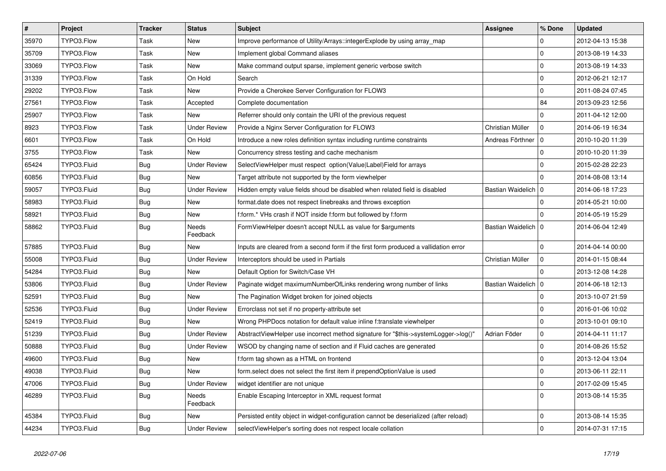| $\vert$ # | Project     | <b>Tracker</b> | <b>Status</b>            | <b>Subject</b>                                                                        | <b>Assignee</b>       | % Done      | <b>Updated</b>   |
|-----------|-------------|----------------|--------------------------|---------------------------------------------------------------------------------------|-----------------------|-------------|------------------|
| 35970     | TYPO3.Flow  | Task           | <b>New</b>               | Improve performance of Utility/Arrays::integerExplode by using array map              |                       | $\Omega$    | 2012-04-13 15:38 |
| 35709     | TYPO3.Flow  | Task           | New                      | Implement global Command aliases                                                      |                       | $\mathbf 0$ | 2013-08-19 14:33 |
| 33069     | TYPO3.Flow  | Task           | New                      | Make command output sparse, implement generic verbose switch                          |                       | $\mathbf 0$ | 2013-08-19 14:33 |
| 31339     | TYPO3.Flow  | Task           | On Hold                  | Search                                                                                |                       | $\mathbf 0$ | 2012-06-21 12:17 |
| 29202     | TYPO3.Flow  | Task           | New                      | Provide a Cherokee Server Configuration for FLOW3                                     |                       | $\mathbf 0$ | 2011-08-24 07:45 |
| 27561     | TYPO3.Flow  | Task           | Accepted                 | Complete documentation                                                                |                       | 84          | 2013-09-23 12:56 |
| 25907     | TYPO3.Flow  | Task           | <b>New</b>               | Referrer should only contain the URI of the previous request                          |                       | $\Omega$    | 2011-04-12 12:00 |
| 8923      | TYPO3.Flow  | Task           | <b>Under Review</b>      | Provide a Nginx Server Configuration for FLOW3                                        | Christian Müller      | $\mathbf 0$ | 2014-06-19 16:34 |
| 6601      | TYPO3.Flow  | Task           | On Hold                  | Introduce a new roles definition syntax including runtime constraints                 | Andreas Förthner   0  |             | 2010-10-20 11:39 |
| 3755      | TYPO3.Flow  | Task           | <b>New</b>               | Concurrency stress testing and cache mechanism                                        |                       | $\Omega$    | 2010-10-20 11:39 |
| 65424     | TYPO3.Fluid | <b>Bug</b>     | <b>Under Review</b>      | SelectViewHelper must respect option(Value Label)Field for arrays                     |                       | $\mathbf 0$ | 2015-02-28 22:23 |
| 60856     | TYPO3.Fluid | <b>Bug</b>     | New                      | Target attribute not supported by the form viewhelper                                 |                       | $\mathbf 0$ | 2014-08-08 13:14 |
| 59057     | TYPO3.Fluid | <b>Bug</b>     | <b>Under Review</b>      | Hidden empty value fields shoud be disabled when related field is disabled            | Bastian Waidelich   0 |             | 2014-06-18 17:23 |
| 58983     | TYPO3.Fluid | Bug            | <b>New</b>               | format.date does not respect linebreaks and throws exception                          |                       | $\Omega$    | 2014-05-21 10:00 |
| 58921     | TYPO3.Fluid | <b>Bug</b>     | <b>New</b>               | f:form.* VHs crash if NOT inside f:form but followed by f:form                        |                       | $\Omega$    | 2014-05-19 15:29 |
| 58862     | TYPO3.Fluid | Bug            | Needs<br>Feedback        | FormViewHelper doesn't accept NULL as value for \$arguments                           | Bastian Waidelich   0 |             | 2014-06-04 12:49 |
| 57885     | TYPO3.Fluid | <b>Bug</b>     | <b>New</b>               | Inputs are cleared from a second form if the first form produced a vallidation error  |                       | $\mathbf 0$ | 2014-04-14 00:00 |
| 55008     | TYPO3.Fluid | <b>Bug</b>     | <b>Under Review</b>      | Interceptors should be used in Partials                                               | Christian Müller      | $\mathbf 0$ | 2014-01-15 08:44 |
| 54284     | TYPO3.Fluid | Bug            | New                      | Default Option for Switch/Case VH                                                     |                       | $\Omega$    | 2013-12-08 14:28 |
| 53806     | TYPO3.Fluid | <b>Bug</b>     | <b>Under Review</b>      | Paginate widget maximumNumberOfLinks rendering wrong number of links                  | Bastian Waidelich   0 |             | 2014-06-18 12:13 |
| 52591     | TYPO3.Fluid | <b>Bug</b>     | <b>New</b>               | The Pagination Widget broken for joined objects                                       |                       | $\Omega$    | 2013-10-07 21:59 |
| 52536     | TYPO3.Fluid | Bug            | <b>Under Review</b>      | Errorclass not set if no property-attribute set                                       |                       | $\mathbf 0$ | 2016-01-06 10:02 |
| 52419     | TYPO3.Fluid | Bug            | <b>New</b>               | Wrong PHPDocs notation for default value inline f:translate viewhelper                |                       | $\mathbf 0$ | 2013-10-01 09:10 |
| 51239     | TYPO3.Fluid | Bug            | <b>Under Review</b>      | AbstractViewHelper use incorrect method signature for "\$this->systemLogger->log()"   | Adrian Föder          | $\mathbf 0$ | 2014-04-11 11:17 |
| 50888     | TYPO3.Fluid | <b>Bug</b>     | <b>Under Review</b>      | WSOD by changing name of section and if Fluid caches are generated                    |                       | $\mathbf 0$ | 2014-08-26 15:52 |
| 49600     | TYPO3.Fluid | Bug            | <b>New</b>               | f:form tag shown as a HTML on frontend                                                |                       | $\mathbf 0$ | 2013-12-04 13:04 |
| 49038     | TYPO3.Fluid | <b>Bug</b>     | <b>New</b>               | form select does not select the first item if prependOptionValue is used              |                       | $\mathbf 0$ | 2013-06-11 22:11 |
| 47006     | TYPO3.Fluid | <b>Bug</b>     | <b>Under Review</b>      | widget identifier are not unique                                                      |                       | $\Omega$    | 2017-02-09 15:45 |
| 46289     | TYPO3.Fluid | <b>Bug</b>     | <b>Needs</b><br>Feedback | Enable Escaping Interceptor in XML request format                                     |                       | $\Omega$    | 2013-08-14 15:35 |
| 45384     | TYPO3.Fluid | <b>Bug</b>     | New                      | Persisted entity object in widget-configuration cannot be deserialized (after reload) |                       | $\mathbf 0$ | 2013-08-14 15:35 |
| 44234     | TYPO3.Fluid | <b>Bug</b>     | <b>Under Review</b>      | selectViewHelper's sorting does not respect locale collation                          |                       | $\mathbf 0$ | 2014-07-31 17:15 |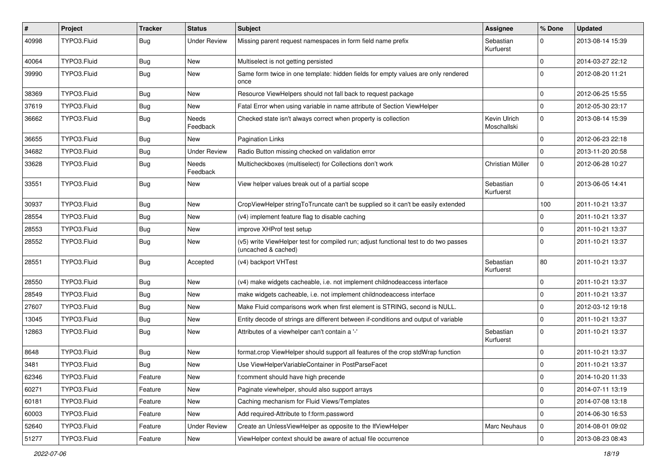| ∦     | Project     | <b>Tracker</b> | <b>Status</b>            | <b>Subject</b>                                                                                              | Assignee                    | % Done              | <b>Updated</b>   |
|-------|-------------|----------------|--------------------------|-------------------------------------------------------------------------------------------------------------|-----------------------------|---------------------|------------------|
| 40998 | TYPO3.Fluid | <b>Bug</b>     | <b>Under Review</b>      | Missing parent request namespaces in form field name prefix                                                 | Sebastian<br>Kurfuerst      | $\Omega$            | 2013-08-14 15:39 |
| 40064 | TYPO3.Fluid | <b>Bug</b>     | New                      | Multiselect is not getting persisted                                                                        |                             | $\mathbf 0$         | 2014-03-27 22:12 |
| 39990 | TYPO3.Fluid | <b>Bug</b>     | New                      | Same form twice in one template: hidden fields for empty values are only rendered<br>once                   |                             | $\Omega$            | 2012-08-20 11:21 |
| 38369 | TYPO3.Fluid | <b>Bug</b>     | <b>New</b>               | Resource ViewHelpers should not fall back to request package                                                |                             | $\mathbf 0$         | 2012-06-25 15:55 |
| 37619 | TYPO3.Fluid | <b>Bug</b>     | New                      | Fatal Error when using variable in name attribute of Section ViewHelper                                     |                             | $\Omega$            | 2012-05-30 23:17 |
| 36662 | TYPO3.Fluid | <b>Bug</b>     | Needs<br>Feedback        | Checked state isn't always correct when property is collection                                              | Kevin Ulrich<br>Moschallski | 0                   | 2013-08-14 15:39 |
| 36655 | TYPO3.Fluid | <b>Bug</b>     | <b>New</b>               | Pagination Links                                                                                            |                             | $\mathbf 0$         | 2012-06-23 22:18 |
| 34682 | TYPO3.Fluid | <b>Bug</b>     | <b>Under Review</b>      | Radio Button missing checked on validation error                                                            |                             | $\Omega$            | 2013-11-20 20:58 |
| 33628 | TYPO3.Fluid | <b>Bug</b>     | <b>Needs</b><br>Feedback | Multicheckboxes (multiselect) for Collections don't work                                                    | Christian Müller            | 0                   | 2012-06-28 10:27 |
| 33551 | TYPO3.Fluid | <b>Bug</b>     | <b>New</b>               | View helper values break out of a partial scope                                                             | Sebastian<br>Kurfuerst      | 0                   | 2013-06-05 14:41 |
| 30937 | TYPO3.Fluid | Bug            | <b>New</b>               | CropViewHelper stringToTruncate can't be supplied so it can't be easily extended                            |                             | 100                 | 2011-10-21 13:37 |
| 28554 | TYPO3.Fluid | <b>Bug</b>     | New                      | (v4) implement feature flag to disable caching                                                              |                             | $\Omega$            | 2011-10-21 13:37 |
| 28553 | TYPO3.Fluid | <b>Bug</b>     | <b>New</b>               | improve XHProf test setup                                                                                   |                             | $\Omega$            | 2011-10-21 13:37 |
| 28552 | TYPO3.Fluid | <b>Bug</b>     | New                      | (v5) write ViewHelper test for compiled run; adjust functional test to do two passes<br>(uncached & cached) |                             | $\Omega$            | 2011-10-21 13:37 |
| 28551 | TYPO3.Fluid | <b>Bug</b>     | Accepted                 | (v4) backport VHTest                                                                                        | Sebastian<br>Kurfuerst      | 80                  | 2011-10-21 13:37 |
| 28550 | TYPO3.Fluid | Bug            | <b>New</b>               | (v4) make widgets cacheable, i.e. not implement childnodeaccess interface                                   |                             | $\mathbf 0$         | 2011-10-21 13:37 |
| 28549 | TYPO3.Fluid | Bug            | <b>New</b>               | make widgets cacheable, i.e. not implement childnodeaccess interface                                        |                             | $\Omega$            | 2011-10-21 13:37 |
| 27607 | TYPO3.Fluid | <b>Bug</b>     | New                      | Make Fluid comparisons work when first element is STRING, second is NULL.                                   |                             | $\mathbf 0$         | 2012-03-12 19:18 |
| 13045 | TYPO3.Fluid | <b>Bug</b>     | <b>New</b>               | Entity decode of strings are different between if-conditions and output of variable                         |                             | $\mathbf{0}$        | 2011-10-21 13:37 |
| 12863 | TYPO3.Fluid | <b>Bug</b>     | New                      | Attributes of a viewhelper can't contain a '-'                                                              | Sebastian<br>Kurfuerst      | $\Omega$            | 2011-10-21 13:37 |
| 8648  | TYPO3.Fluid | <b>Bug</b>     | <b>New</b>               | format.crop ViewHelper should support all features of the crop stdWrap function                             |                             | 0                   | 2011-10-21 13:37 |
| 3481  | TYPO3.Fluid | <b>Bug</b>     | <b>New</b>               | Use ViewHelperVariableContainer in PostParseFacet                                                           |                             | $\mathbf 0$         | 2011-10-21 13:37 |
| 62346 | TYPO3.Fluid | Feature        | New                      | f:comment should have high precende                                                                         |                             | 0                   | 2014-10-20 11:33 |
| 60271 | TYPO3.Fluid | Feature        | New                      | Paginate viewhelper, should also support arrays                                                             |                             | $\mathbf{0}$        | 2014-07-11 13:19 |
| 60181 | TYPO3.Fluid | Feature        | New                      | Caching mechanism for Fluid Views/Templates                                                                 |                             | $\mathsf{O}\xspace$ | 2014-07-08 13:18 |
| 60003 | TYPO3.Fluid | Feature        | New                      | Add required-Attribute to f:form.password                                                                   |                             | $\mathbf 0$         | 2014-06-30 16:53 |
| 52640 | TYPO3.Fluid | Feature        | <b>Under Review</b>      | Create an UnlessViewHelper as opposite to the IfViewHelper                                                  | <b>Marc Neuhaus</b>         | 0                   | 2014-08-01 09:02 |
| 51277 | TYPO3.Fluid | Feature        | New                      | ViewHelper context should be aware of actual file occurrence                                                |                             | $\mathsf{O}\xspace$ | 2013-08-23 08:43 |